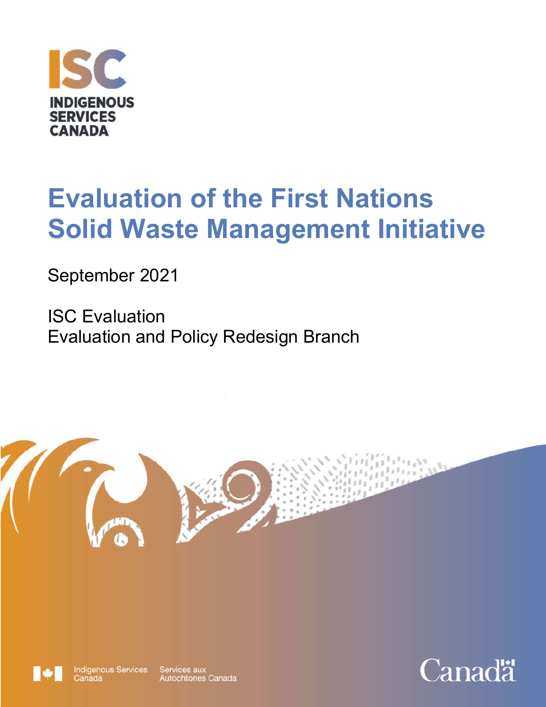

# **Evaluation of the First Nations Solid Waste Management Initiative**

September 2021

ISC Evaluation Evaluation and Policy Redesign Branch





Indigenous Services

Services aux<br>Autochtones Canada

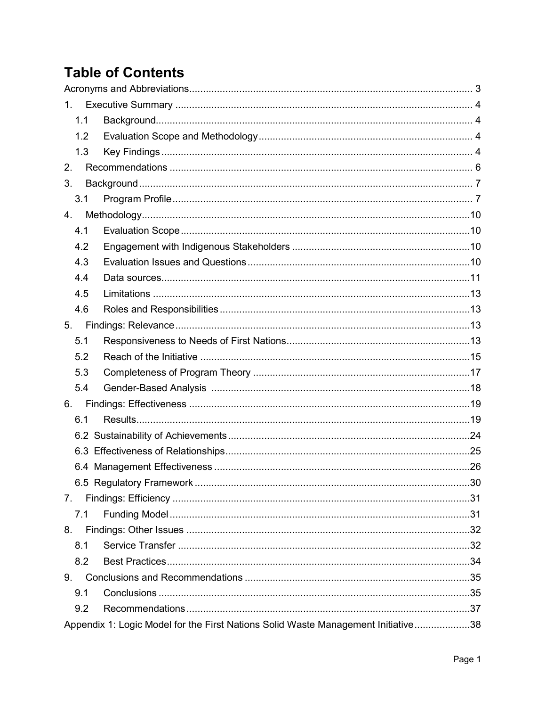# **Table of Contents**

| 1.      |                                                                                   |  |
|---------|-----------------------------------------------------------------------------------|--|
| 1.1     |                                                                                   |  |
| 1.2     |                                                                                   |  |
| 1.3     |                                                                                   |  |
| $2_{-}$ |                                                                                   |  |
| 3.      |                                                                                   |  |
| 3.1     |                                                                                   |  |
| 4.      |                                                                                   |  |
| 4.1     |                                                                                   |  |
| 4.2     |                                                                                   |  |
| 4.3     |                                                                                   |  |
| 4.4     |                                                                                   |  |
| 4.5     |                                                                                   |  |
| 4.6     |                                                                                   |  |
| 5.      |                                                                                   |  |
| 5.1     |                                                                                   |  |
| 5.2     |                                                                                   |  |
| 5.3     |                                                                                   |  |
| 5.4     |                                                                                   |  |
| 6.      |                                                                                   |  |
| 6.1     |                                                                                   |  |
|         |                                                                                   |  |
|         |                                                                                   |  |
|         |                                                                                   |  |
|         |                                                                                   |  |
| 7.      |                                                                                   |  |
| 7.1     |                                                                                   |  |
| 8.      |                                                                                   |  |
| 8.1     |                                                                                   |  |
| 8.2     |                                                                                   |  |
| 9.      |                                                                                   |  |
| 9.1     |                                                                                   |  |
| 9.2     |                                                                                   |  |
|         | Appendix 1: Logic Model for the First Nations Solid Waste Management Initiative38 |  |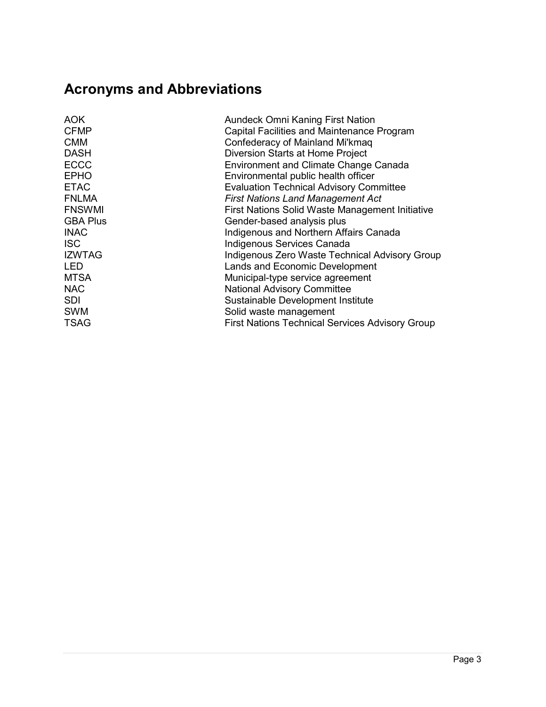# **Acronyms and Abbreviations**

| AOK.            | <b>Aundeck Omni Kaning First Nation</b>                |
|-----------------|--------------------------------------------------------|
| CFMP            | <b>Capital Facilities and Maintenance Program</b>      |
| СММ             | Confederacy of Mainland Mi'kmaq                        |
| DASH            | Diversion Starts at Home Project                       |
| <b>ECCC</b>     | <b>Environment and Climate Change Canada</b>           |
| EPHO            | Environmental public health officer                    |
| <b>ETAC</b>     | <b>Evaluation Technical Advisory Committee</b>         |
| <b>FNLMA</b>    | <b>First Nations Land Management Act</b>               |
| <b>FNSWMI</b>   | <b>First Nations Solid Waste Management Initiative</b> |
| <b>GBA Plus</b> | Gender-based analysis plus                             |
| <b>INAC</b>     | Indigenous and Northern Affairs Canada                 |
| <b>ISC</b>      | Indigenous Services Canada                             |
| <b>IZWTAG</b>   | Indigenous Zero Waste Technical Advisory Group         |
| LED             | Lands and Economic Development                         |
| <b>MTSA</b>     | Municipal-type service agreement                       |
| <b>NAC</b>      | <b>National Advisory Committee</b>                     |
| SDI             | Sustainable Development Institute                      |
| SWM             | Solid waste management                                 |
| <b>TSAG</b>     | <b>First Nations Technical Services Advisory Group</b> |
|                 |                                                        |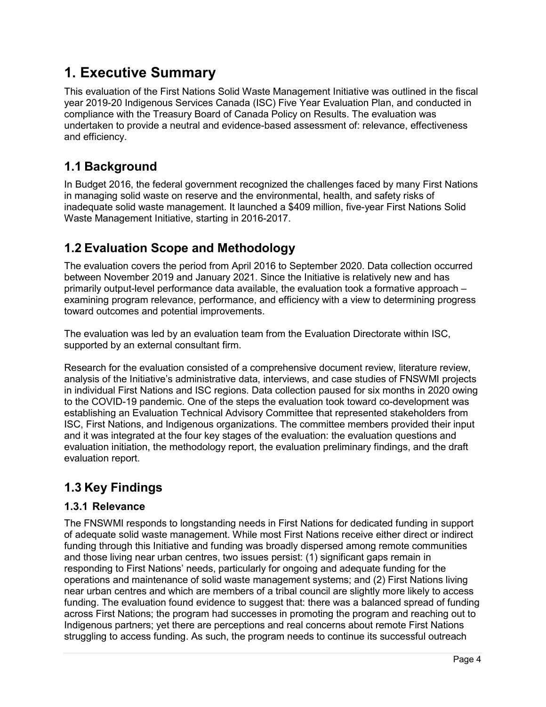# **1. Executive Summary**

This evaluation of the First Nations Solid Waste Management Initiative was outlined in the fiscal year 2019-20 Indigenous Services Canada (ISC) Five Year Evaluation Plan, and conducted in compliance with the Treasury Board of Canada Policy on Results. The evaluation was undertaken to provide a neutral and evidence-based assessment of: relevance, effectiveness and efficiency.

### **1.1 Background**

In Budget 2016, the federal government recognized the challenges faced by many First Nations in managing solid waste on reserve and the environmental, health, and safety risks of inadequate solid waste management. It launched a \$409 million, five-year First Nations Solid Waste Management Initiative, starting in 2016-2017.

### **1.2 Evaluation Scope and Methodology**

The evaluation covers the period from April 2016 to September 2020. Data collection occurred between November 2019 and January 2021. Since the Initiative is relatively new and has primarily output-level performance data available, the evaluation took a formative approach – examining program relevance, performance, and efficiency with a view to determining progress toward outcomes and potential improvements.

The evaluation was led by an evaluation team from the Evaluation Directorate within ISC, supported by an external consultant firm.

Research for the evaluation consisted of a comprehensive document review, literature review, analysis of the Initiative's administrative data, interviews, and case studies of FNSWMI projects in individual First Nations and ISC regions. Data collection paused for six months in 2020 owing to the COVID-19 pandemic. One of the steps the evaluation took toward co-development was establishing an Evaluation Technical Advisory Committee that represented stakeholders from ISC, First Nations, and Indigenous organizations. The committee members provided their input and it was integrated at the four key stages of the evaluation: the evaluation questions and evaluation initiation, the methodology report, the evaluation preliminary findings, and the draft evaluation report.

# **1.3 Key Findings**

### **1.3.1 Relevance**

The FNSWMI responds to longstanding needs in First Nations for dedicated funding in support of adequate solid waste management. While most First Nations receive either direct or indirect funding through this Initiative and funding was broadly dispersed among remote communities and those living near urban centres, two issues persist: (1) significant gaps remain in responding to First Nations' needs, particularly for ongoing and adequate funding for the operations and maintenance of solid waste management systems; and (2) First Nations living near urban centres and which are members of a tribal council are slightly more likely to access funding. The evaluation found evidence to suggest that: there was a balanced spread of funding across First Nations; the program had successes in promoting the program and reaching out to Indigenous partners; yet there are perceptions and real concerns about remote First Nations struggling to access funding. As such, the program needs to continue its successful outreach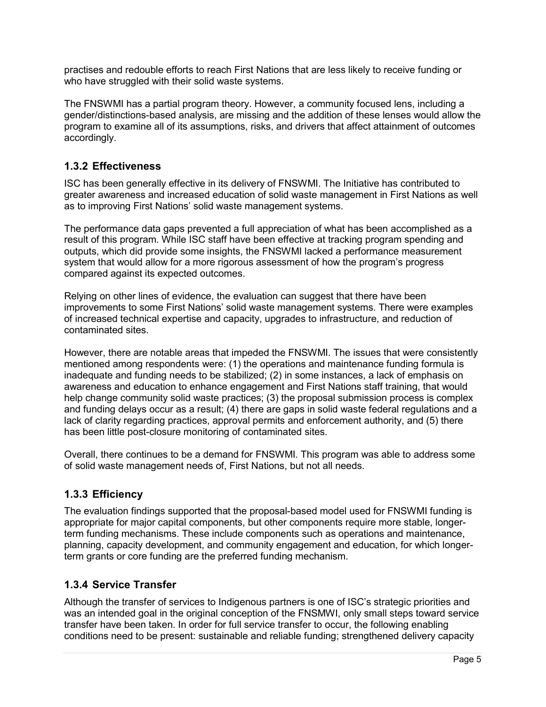practises and redouble efforts to reach First Nations that are less likely to receive funding or who have struggled with their solid waste systems.

The FNSWMI has a partial program theory. However, a community focused lens, including a gender/distinctions-based analysis, are missing and the addition of these lenses would allow the program to examine all of its assumptions, risks, and drivers that affect attainment of outcomes accordingly.

#### **1.3.2 Effectiveness**

ISC has been generally effective in its delivery of FNSWMI. The Initiative has contributed to greater awareness and increased education of solid waste management in First Nations as well as to improving First Nations' solid waste management systems.

The performance data gaps prevented a full appreciation of what has been accomplished as a result of this program. While ISC staff have been effective at tracking program spending and outputs, which did provide some insights, the FNSWMI lacked a performance measurement system that would allow for a more rigorous assessment of how the program's progress compared against its expected outcomes.

Relying on other lines of evidence, the evaluation can suggest that there have been improvements to some First Nations' solid waste management systems. There were examples of increased technical expertise and capacity, upgrades to infrastructure, and reduction of contaminated sites.

However, there are notable areas that impeded the FNSWMI. The issues that were consistently mentioned among respondents were: (1) the operations and maintenance funding formula is inadequate and funding needs to be stabilized; (2) in some instances, a lack of emphasis on awareness and education to enhance engagement and First Nations staff training, that would help change community solid waste practices; (3) the proposal submission process is complex and funding delays occur as a result; (4) there are gaps in solid waste federal regulations and a lack of clarity regarding practices, approval permits and enforcement authority, and (5) there has been little post-closure monitoring of contaminated sites.

Overall, there continues to be a demand for FNSWMI. This program was able to address some of solid waste management needs of, First Nations, but not all needs.

#### **1.3.3 Efficiency**

The evaluation findings supported that the proposal-based model used for FNSWMI funding is appropriate for major capital components, but other components require more stable, longerterm funding mechanisms. These include components such as operations and maintenance, planning, capacity development, and community engagement and education, for which longerterm grants or core funding are the preferred funding mechanism.

#### **1.3.4 Service Transfer**

Although the transfer of services to Indigenous partners is one of ISC's strategic priorities and was an intended goal in the original conception of the FNSMWI, only small steps toward service transfer have been taken. In order for full service transfer to occur, the following enabling conditions need to be present: sustainable and reliable funding; strengthened delivery capacity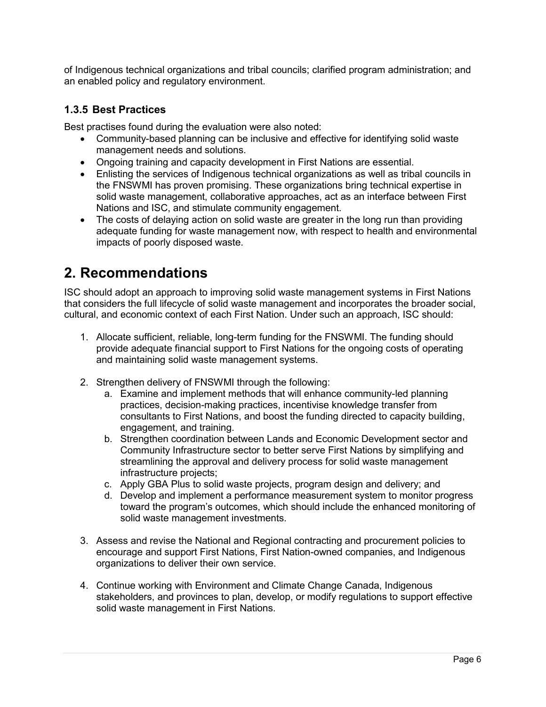of Indigenous technical organizations and tribal councils; clarified program administration; and an enabled policy and regulatory environment.

#### **1.3.5 Best Practices**

Best practises found during the evaluation were also noted:

- Community-based planning can be inclusive and effective for identifying solid waste management needs and solutions.
- Ongoing training and capacity development in First Nations are essential.
- Enlisting the services of Indigenous technical organizations as well as tribal councils in the FNSWMI has proven promising. These organizations bring technical expertise in solid waste management, collaborative approaches, act as an interface between First Nations and ISC, and stimulate community engagement.
- The costs of delaying action on solid waste are greater in the long run than providing adequate funding for waste management now, with respect to health and environmental impacts of poorly disposed waste.

# **2. Recommendations**

ISC should adopt an approach to improving solid waste management systems in First Nations that considers the full lifecycle of solid waste management and incorporates the broader social, cultural, and economic context of each First Nation. Under such an approach, ISC should:

- 1. Allocate sufficient, reliable, long-term funding for the FNSWMI. The funding should provide adequate financial support to First Nations for the ongoing costs of operating and maintaining solid waste management systems.
- 2. Strengthen delivery of FNSWMI through the following:
	- a. Examine and implement methods that will enhance community-led planning practices, decision-making practices, incentivise knowledge transfer from consultants to First Nations, and boost the funding directed to capacity building, engagement, and training.
	- b. Strengthen coordination between Lands and Economic Development sector and Community Infrastructure sector to better serve First Nations by simplifying and streamlining the approval and delivery process for solid waste management infrastructure projects;
	- c. Apply GBA Plus to solid waste projects, program design and delivery; and
	- d. Develop and implement a performance measurement system to monitor progress toward the program's outcomes, which should include the enhanced monitoring of solid waste management investments.
- 3. Assess and revise the National and Regional contracting and procurement policies to encourage and support First Nations, First Nation-owned companies, and Indigenous organizations to deliver their own service.
- 4. Continue working with Environment and Climate Change Canada, Indigenous stakeholders, and provinces to plan, develop, or modify regulations to support effective solid waste management in First Nations.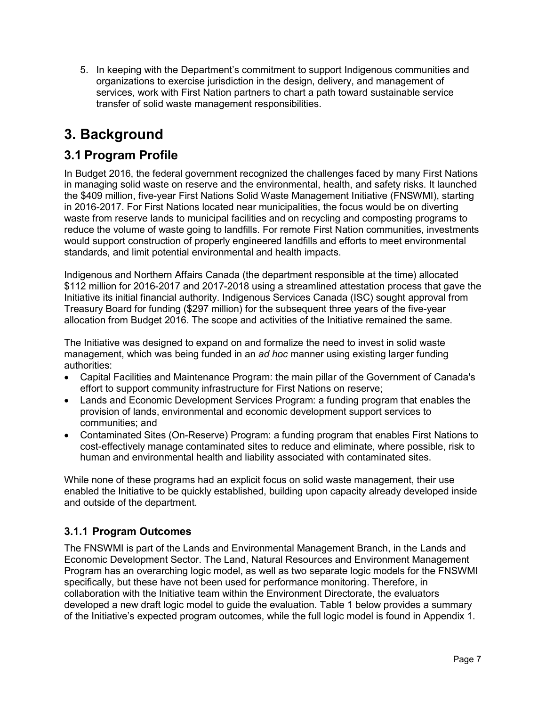5. In keeping with the Department's commitment to support Indigenous communities and organizations to exercise jurisdiction in the design, delivery, and management of services, work with First Nation partners to chart a path toward sustainable service transfer of solid waste management responsibilities.

# **3. Background**

### **3.1 Program Profile**

In Budget 2016, the federal government recognized the challenges faced by many First Nations in managing solid waste on reserve and the environmental, health, and safety risks. It launched the \$409 million, five-year First Nations Solid Waste Management Initiative (FNSWMI), starting in 2016-2017. For First Nations located near municipalities, the focus would be on diverting waste from reserve lands to municipal facilities and on recycling and composting programs to reduce the volume of waste going to landfills. For remote First Nation communities, investments would support construction of properly engineered landfills and efforts to meet environmental standards, and limit potential environmental and health impacts.

Indigenous and Northern Affairs Canada (the department responsible at the time) allocated \$112 million for 2016-2017 and 2017-2018 using a streamlined attestation process that gave the Initiative its initial financial authority. Indigenous Services Canada (ISC) sought approval from Treasury Board for funding (\$297 million) for the subsequent three years of the five-year allocation from Budget 2016. The scope and activities of the Initiative remained the same.

The Initiative was designed to expand on and formalize the need to invest in solid waste management, which was being funded in an *ad hoc* manner using existing larger funding authorities:

- Capital Facilities and Maintenance Program: the main pillar of the Government of Canada's effort to support community infrastructure for First Nations on reserve;
- Lands and Economic Development Services Program: a funding program that enables the provision of lands, environmental and economic development support services to communities; and
- Contaminated Sites (On-Reserve) Program: a funding program that enables First Nations to cost-effectively manage contaminated sites to reduce and eliminate, where possible, risk to human and environmental health and liability associated with contaminated sites.

While none of these programs had an explicit focus on solid waste management, their use enabled the Initiative to be quickly established, building upon capacity already developed inside and outside of the department.

### **3.1.1 Program Outcomes**

The FNSWMI is part of the Lands and Environmental Management Branch, in the Lands and Economic Development Sector. The Land, Natural Resources and Environment Management Program has an overarching logic model, as well as two separate logic models for the FNSWMI specifically, but these have not been used for performance monitoring. Therefore, in collaboration with the Initiative team within the Environment Directorate, the evaluators developed a new draft logic model to guide the evaluation. Table 1 below provides a summary of the Initiative's expected program outcomes, while the full logic model is found in Appendix 1.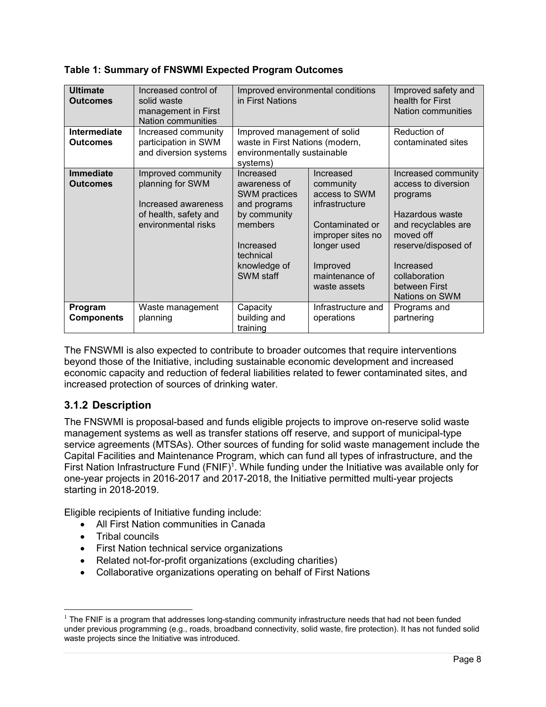| <b>Ultimate</b><br><b>Outcomes</b>  | Increased control of<br>solid waste<br>management in First<br><b>Nation communities</b>                       | Improved environmental conditions<br>in First Nations                                                                                                      |                                                                                                                                                                | Improved safety and<br>health for First<br>Nation communities                                                                                                                                         |
|-------------------------------------|---------------------------------------------------------------------------------------------------------------|------------------------------------------------------------------------------------------------------------------------------------------------------------|----------------------------------------------------------------------------------------------------------------------------------------------------------------|-------------------------------------------------------------------------------------------------------------------------------------------------------------------------------------------------------|
| Intermediate<br><b>Outcomes</b>     | Increased community<br>participation in SWM<br>and diversion systems                                          | Improved management of solid<br>waste in First Nations (modern,<br>environmentally sustainable<br>systems)                                                 |                                                                                                                                                                | Reduction of<br>contaminated sites                                                                                                                                                                    |
| <b>Immediate</b><br><b>Outcomes</b> | Improved community<br>planning for SWM<br>Increased awareness<br>of health, safety and<br>environmental risks | Increased<br>awareness of<br><b>SWM</b> practices<br>and programs<br>by community<br>members<br>Increased<br>technical<br>knowledge of<br><b>SWM staff</b> | Increased<br>community<br>access to SWM<br>infrastructure<br>Contaminated or<br>improper sites no<br>longer used<br>Improved<br>maintenance of<br>waste assets | Increased community<br>access to diversion<br>programs<br>Hazardous waste<br>and recyclables are<br>moved off<br>reserve/disposed of<br>Increased<br>collaboration<br>between First<br>Nations on SWM |
| Program<br><b>Components</b>        | Waste management<br>planning                                                                                  | Capacity<br>building and<br>training                                                                                                                       | Infrastructure and<br>operations                                                                                                                               | Programs and<br>partnering                                                                                                                                                                            |

The FNSWMI is also expected to contribute to broader outcomes that require interventions beyond those of the Initiative, including sustainable economic development and increased economic capacity and reduction of federal liabilities related to fewer contaminated sites, and increased protection of sources of drinking water.

### **3.1.2 Description**

The FNSWMI is proposal-based and funds eligible projects to improve on-reserve solid waste management systems as well as transfer stations off reserve, and support of municipal-type service agreements (MTSAs). Other sources of funding for solid waste management include the Capital Facilities and Maintenance Program, which can fund all types of infrastructure, and the First Nation Infrastructure Fund  $(FNIF)^1$ . While funding under the Initiative was available only for one-year projects in 2016-2017 and 2017-2018, the Initiative permitted multi-year projects starting in 2018-2019.

Eligible recipients of Initiative funding include:

- All First Nation communities in Canada
- Tribal councils

-

- First Nation technical service organizations
- Related not-for-profit organizations (excluding charities)
- Collaborative organizations operating on behalf of First Nations

 $<sup>1</sup>$  The FNIF is a program that addresses long-standing community infrastructure needs that had not been funded</sup> under previous programming (e.g., roads, broadband connectivity, solid waste, fire protection). It has not funded solid waste projects since the Initiative was introduced.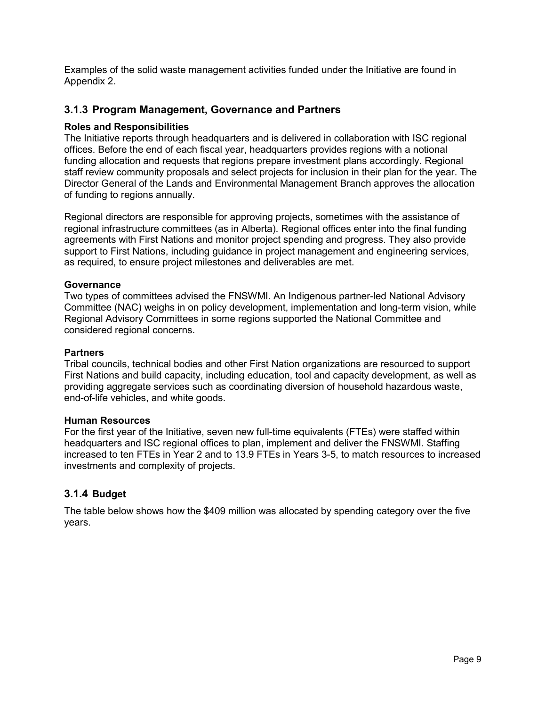Examples of the solid waste management activities funded under the Initiative are found in Appendix 2.

#### **3.1.3 Program Management, Governance and Partners**

#### **Roles and Responsibilities**

The Initiative reports through headquarters and is delivered in collaboration with ISC regional offices. Before the end of each fiscal year, headquarters provides regions with a notional funding allocation and requests that regions prepare investment plans accordingly. Regional staff review community proposals and select projects for inclusion in their plan for the year. The Director General of the Lands and Environmental Management Branch approves the allocation of funding to regions annually.

Regional directors are responsible for approving projects, sometimes with the assistance of regional infrastructure committees (as in Alberta). Regional offices enter into the final funding agreements with First Nations and monitor project spending and progress. They also provide support to First Nations, including guidance in project management and engineering services, as required, to ensure project milestones and deliverables are met.

#### **Governance**

Two types of committees advised the FNSWMI. An Indigenous partner-led National Advisory Committee (NAC) weighs in on policy development, implementation and long-term vision, while Regional Advisory Committees in some regions supported the National Committee and considered regional concerns.

#### **Partners**

Tribal councils, technical bodies and other First Nation organizations are resourced to support First Nations and build capacity, including education, tool and capacity development, as well as providing aggregate services such as coordinating diversion of household hazardous waste, end-of-life vehicles, and white goods.

#### **Human Resources**

For the first year of the Initiative, seven new full-time equivalents (FTEs) were staffed within headquarters and ISC regional offices to plan, implement and deliver the FNSWMI. Staffing increased to ten FTEs in Year 2 and to 13.9 FTEs in Years 3-5, to match resources to increased investments and complexity of projects.

#### **3.1.4 Budget**

The table below shows how the \$409 million was allocated by spending category over the five years.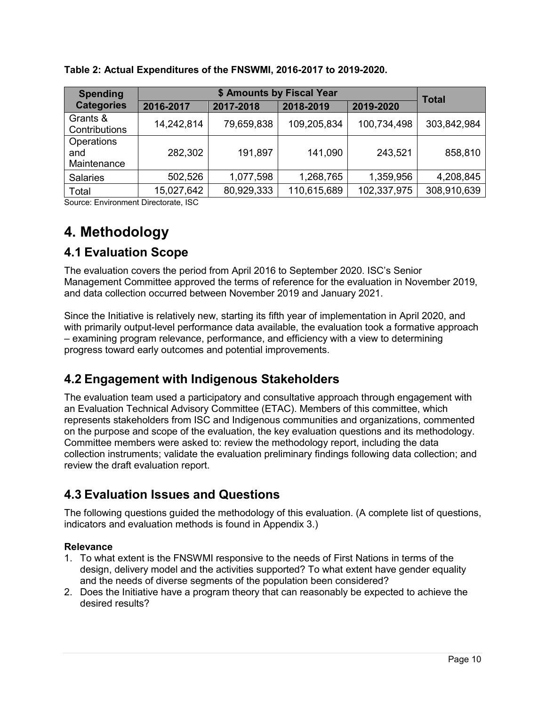| <b>Spending</b>                  | \$ Amounts by Fiscal Year |            |             |             | <b>Total</b> |
|----------------------------------|---------------------------|------------|-------------|-------------|--------------|
| <b>Categories</b>                | 2016-2017                 | 2017-2018  | 2018-2019   | 2019-2020   |              |
| Grants &<br>Contributions        | 14,242,814                | 79,659,838 | 109,205,834 | 100,734,498 | 303,842,984  |
| Operations<br>and<br>Maintenance | 282,302                   | 191,897    | 141,090     | 243,521     | 858,810      |
| <b>Salaries</b>                  | 502,526                   | 1,077,598  | 1,268,765   | 1,359,956   | 4,208,845    |
| Total                            | 15,027,642                | 80,929,333 | 110,615,689 | 102,337,975 | 308,910,639  |

#### **Table 2: Actual Expenditures of the FNSWMI, 2016-2017 to 2019-2020.**

Source: Environment Directorate, ISC

### **4. Methodology**

### **4.1 Evaluation Scope**

The evaluation covers the period from April 2016 to September 2020. ISC's Senior Management Committee approved the terms of reference for the evaluation in November 2019, and data collection occurred between November 2019 and January 2021.

Since the Initiative is relatively new, starting its fifth year of implementation in April 2020, and with primarily output-level performance data available, the evaluation took a formative approach – examining program relevance, performance, and efficiency with a view to determining progress toward early outcomes and potential improvements.

### **4.2 Engagement with Indigenous Stakeholders**

The evaluation team used a participatory and consultative approach through engagement with an Evaluation Technical Advisory Committee (ETAC). Members of this committee, which represents stakeholders from ISC and Indigenous communities and organizations, commented on the purpose and scope of the evaluation, the key evaluation questions and its methodology. Committee members were asked to: review the methodology report, including the data collection instruments; validate the evaluation preliminary findings following data collection; and review the draft evaluation report.

### **4.3 Evaluation Issues and Questions**

The following questions guided the methodology of this evaluation. (A complete list of questions, indicators and evaluation methods is found in Appendix 3.)

#### **Relevance**

- 1. To what extent is the FNSWMI responsive to the needs of First Nations in terms of the design, delivery model and the activities supported? To what extent have gender equality and the needs of diverse segments of the population been considered?
- 2. Does the Initiative have a program theory that can reasonably be expected to achieve the desired results?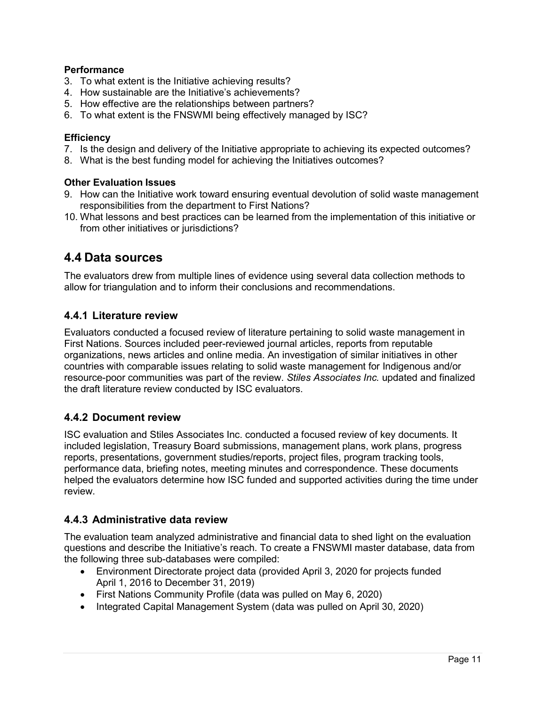#### **Performance**

- 3. To what extent is the Initiative achieving results?
- 4. How sustainable are the Initiative's achievements?
- 5. How effective are the relationships between partners?
- 6. To what extent is the FNSWMI being effectively managed by ISC?

#### **Efficiency**

- 7. Is the design and delivery of the Initiative appropriate to achieving its expected outcomes?
- 8. What is the best funding model for achieving the Initiatives outcomes?

#### **Other Evaluation Issues**

- 9. How can the Initiative work toward ensuring eventual devolution of solid waste management responsibilities from the department to First Nations?
- 10. What lessons and best practices can be learned from the implementation of this initiative or from other initiatives or jurisdictions?

### **4.4 Data sources**

The evaluators drew from multiple lines of evidence using several data collection methods to allow for triangulation and to inform their conclusions and recommendations.

#### **4.4.1 Literature review**

Evaluators conducted a focused review of literature pertaining to solid waste management in First Nations. Sources included peer-reviewed journal articles, reports from reputable organizations, news articles and online media. An investigation of similar initiatives in other countries with comparable issues relating to solid waste management for Indigenous and/or resource-poor communities was part of the review. *Stiles Associates Inc.* updated and finalized the draft literature review conducted by ISC evaluators.

#### **4.4.2 Document review**

ISC evaluation and Stiles Associates Inc. conducted a focused review of key documents*.* It included legislation, Treasury Board submissions, management plans, work plans, progress reports, presentations, government studies/reports, project files, program tracking tools, performance data, briefing notes, meeting minutes and correspondence. These documents helped the evaluators determine how ISC funded and supported activities during the time under review.

#### **4.4.3 Administrative data review**

The evaluation team analyzed administrative and financial data to shed light on the evaluation questions and describe the Initiative's reach. To create a FNSWMI master database, data from the following three sub-databases were compiled:

- Environment Directorate project data (provided April 3, 2020 for projects funded April 1, 2016 to December 31, 2019)
- First Nations Community Profile (data was pulled on May 6, 2020)
- Integrated Capital Management System (data was pulled on April 30, 2020)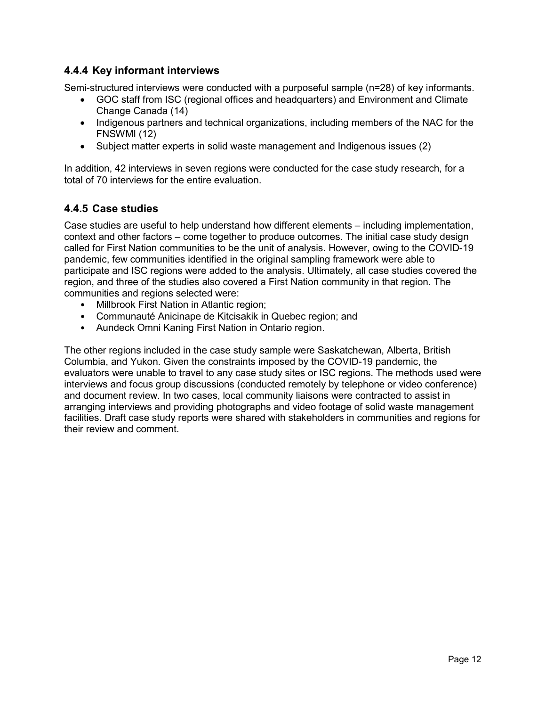#### **4.4.4 Key informant interviews**

Semi-structured interviews were conducted with a purposeful sample (n=28) of key informants.

- GOC staff from ISC (regional offices and headquarters) and Environment and Climate Change Canada (14)
- Indigenous partners and technical organizations, including members of the NAC for the FNSWMI (12)
- Subject matter experts in solid waste management and Indigenous issues (2)

In addition, 42 interviews in seven regions were conducted for the case study research, for a total of 70 interviews for the entire evaluation.

#### **4.4.5 Case studies**

Case studies are useful to help understand how different elements – including implementation, context and other factors – come together to produce outcomes. The initial case study design called for First Nation communities to be the unit of analysis. However, owing to the COVID-19 pandemic, few communities identified in the original sampling framework were able to participate and ISC regions were added to the analysis. Ultimately, all case studies covered the region, and three of the studies also covered a First Nation community in that region. The communities and regions selected were:

- Millbrook First Nation in Atlantic region;
- Communauté Anicinape de Kitcisakik in Quebec region; and
- Aundeck Omni Kaning First Nation in Ontario region.

The other regions included in the case study sample were Saskatchewan, Alberta, British Columbia, and Yukon. Given the constraints imposed by the COVID-19 pandemic, the evaluators were unable to travel to any case study sites or ISC regions. The methods used were interviews and focus group discussions (conducted remotely by telephone or video conference) and document review. In two cases, local community liaisons were contracted to assist in arranging interviews and providing photographs and video footage of solid waste management facilities. Draft case study reports were shared with stakeholders in communities and regions for their review and comment.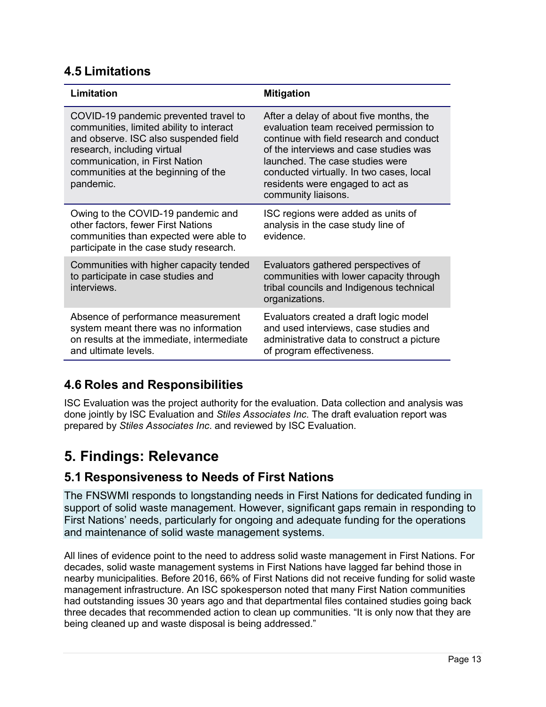### **4.5 Limitations**

| Limitation                                                                                                                                                                                                                                      | <b>Mitigation</b>                                                                                                                                                                                                                                                                                                 |
|-------------------------------------------------------------------------------------------------------------------------------------------------------------------------------------------------------------------------------------------------|-------------------------------------------------------------------------------------------------------------------------------------------------------------------------------------------------------------------------------------------------------------------------------------------------------------------|
| COVID-19 pandemic prevented travel to<br>communities, limited ability to interact<br>and observe. ISC also suspended field<br>research, including virtual<br>communication, in First Nation<br>communities at the beginning of the<br>pandemic. | After a delay of about five months, the<br>evaluation team received permission to<br>continue with field research and conduct<br>of the interviews and case studies was<br>launched. The case studies were<br>conducted virtually. In two cases, local<br>residents were engaged to act as<br>community liaisons. |
| Owing to the COVID-19 pandemic and<br>other factors, fewer First Nations<br>communities than expected were able to<br>participate in the case study research.                                                                                   | ISC regions were added as units of<br>analysis in the case study line of<br>evidence.                                                                                                                                                                                                                             |
| Communities with higher capacity tended<br>to participate in case studies and<br>interviews.                                                                                                                                                    | Evaluators gathered perspectives of<br>communities with lower capacity through<br>tribal councils and Indigenous technical<br>organizations.                                                                                                                                                                      |
| Absence of performance measurement<br>system meant there was no information<br>on results at the immediate, intermediate<br>and ultimate levels.                                                                                                | Evaluators created a draft logic model<br>and used interviews, case studies and<br>administrative data to construct a picture<br>of program effectiveness.                                                                                                                                                        |

### **4.6 Roles and Responsibilities**

ISC Evaluation was the project authority for the evaluation. Data collection and analysis was done jointly by ISC Evaluation and *Stiles Associates Inc*. The draft evaluation report was prepared by *Stiles Associates Inc*. and reviewed by ISC Evaluation.

## **5. Findings: Relevance**

### **5.1 Responsiveness to Needs of First Nations**

The FNSWMI responds to longstanding needs in First Nations for dedicated funding in support of solid waste management. However, significant gaps remain in responding to First Nations' needs, particularly for ongoing and adequate funding for the operations and maintenance of solid waste management systems.

All lines of evidence point to the need to address solid waste management in First Nations. For decades, solid waste management systems in First Nations have lagged far behind those in nearby municipalities. Before 2016, 66% of First Nations did not receive funding for solid waste management infrastructure. An ISC spokesperson noted that many First Nation communities had outstanding issues 30 years ago and that departmental files contained studies going back three decades that recommended action to clean up communities. "It is only now that they are being cleaned up and waste disposal is being addressed."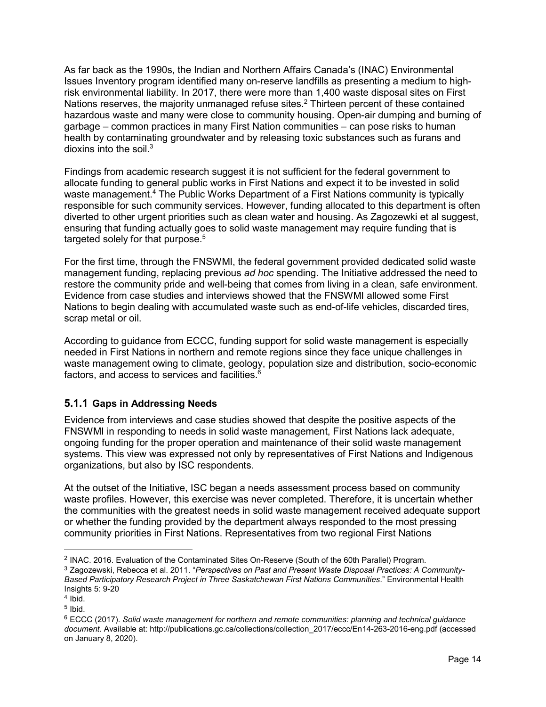As far back as the 1990s, the Indian and Northern Affairs Canada's (INAC) Environmental Issues Inventory program identified many on-reserve landfills as presenting a medium to highrisk environmental liability. In 2017, there were more than 1,400 waste disposal sites on First Nations reserves, the majority unmanaged refuse sites.<sup>2</sup> Thirteen percent of these contained hazardous waste and many were close to community housing. Open-air dumping and burning of garbage – common practices in many First Nation communities – can pose risks to human health by contaminating groundwater and by releasing toxic substances such as furans and dioxins into the soil. $3$ 

Findings from academic research suggest it is not sufficient for the federal government to allocate funding to general public works in First Nations and expect it to be invested in solid waste management. <sup>4</sup> The Public Works Department of a First Nations community is typically responsible for such community services. However, funding allocated to this department is often diverted to other urgent priorities such as clean water and housing. As Zagozewki et al suggest, ensuring that funding actually goes to solid waste management may require funding that is targeted solely for that purpose. 5

For the first time, through the FNSWMI, the federal government provided dedicated solid waste management funding, replacing previous *ad hoc* spending. The Initiative addressed the need to restore the community pride and well-being that comes from living in a clean, safe environment. Evidence from case studies and interviews showed that the FNSWMI allowed some First Nations to begin dealing with accumulated waste such as end-of-life vehicles, discarded tires, scrap metal or oil.

According to guidance from ECCC, funding support for solid waste management is especially needed in First Nations in northern and remote regions since they face unique challenges in waste management owing to climate, geology, population size and distribution, socio-economic factors, and access to services and facilities.<sup>6</sup>

#### **5.1.1 Gaps in Addressing Needs**

Evidence from interviews and case studies showed that despite the positive aspects of the FNSWMI in responding to needs in solid waste management, First Nations lack adequate, ongoing funding for the proper operation and maintenance of their solid waste management systems. This view was expressed not only by representatives of First Nations and Indigenous organizations, but also by ISC respondents.

At the outset of the Initiative, ISC began a needs assessment process based on community waste profiles. However, this exercise was never completed. Therefore, it is uncertain whether the communities with the greatest needs in solid waste management received adequate support or whether the funding provided by the department always responded to the most pressing community priorities in First Nations. Representatives from two regional First Nations

 <sup>2</sup> INAC. 2016. Evaluation of the Contaminated Sites On-Reserve (South of the 60th Parallel) Program.

<sup>3</sup> Zagozewski, Rebecca et al. 2011. "*Perspectives on Past and Present Waste Disposal Practices: A Community-Based Participatory Research Project in Three Saskatchewan First Nations Communities*." Environmental Health Insights 5: 9-20

 $4$  Ibid.

 $5$  Ibid.

<sup>6</sup> ECCC (2017). *Solid waste management for northern and remote communities: planning and technical guidance document*. Available at: http://publications.gc.ca/collections/collection\_2017/eccc/En14-263-2016-eng.pdf (accessed on January 8, 2020).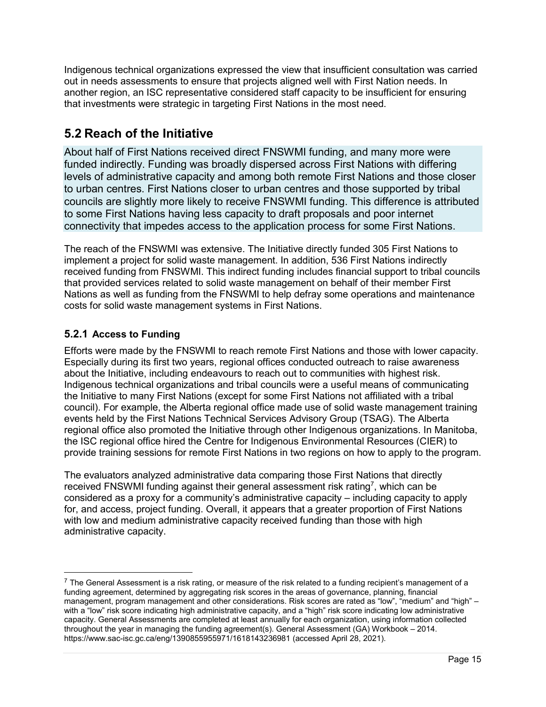Indigenous technical organizations expressed the view that insufficient consultation was carried out in needs assessments to ensure that projects aligned well with First Nation needs. In another region, an ISC representative considered staff capacity to be insufficient for ensuring that investments were strategic in targeting First Nations in the most need.

### **5.2 Reach of the Initiative**

About half of First Nations received direct FNSWMI funding, and many more were funded indirectly. Funding was broadly dispersed across First Nations with differing levels of administrative capacity and among both remote First Nations and those closer to urban centres. First Nations closer to urban centres and those supported by tribal councils are slightly more likely to receive FNSWMI funding. This difference is attributed to some First Nations having less capacity to draft proposals and poor internet connectivity that impedes access to the application process for some First Nations.

The reach of the FNSWMI was extensive. The Initiative directly funded 305 First Nations to implement a project for solid waste management. In addition, 536 First Nations indirectly received funding from FNSWMI. This indirect funding includes financial support to tribal councils that provided services related to solid waste management on behalf of their member First Nations as well as funding from the FNSWMI to help defray some operations and maintenance costs for solid waste management systems in First Nations.

#### **5.2.1 Access to Funding**

Efforts were made by the FNSWMI to reach remote First Nations and those with lower capacity. Especially during its first two years, regional offices conducted outreach to raise awareness about the Initiative, including endeavours to reach out to communities with highest risk. Indigenous technical organizations and tribal councils were a useful means of communicating the Initiative to many First Nations (except for some First Nations not affiliated with a tribal council). For example, the Alberta regional office made use of solid waste management training events held by the First Nations Technical Services Advisory Group (TSAG). The Alberta regional office also promoted the Initiative through other Indigenous organizations. In Manitoba, the ISC regional office hired the Centre for Indigenous Environmental Resources (CIER) to provide training sessions for remote First Nations in two regions on how to apply to the program.

The evaluators analyzed administrative data comparing those First Nations that directly received FNSWMI funding against their general assessment risk rating<sup>7</sup>, which can be considered as a proxy for a community's administrative capacity – including capacity to apply for, and access, project funding. Overall, it appears that a greater proportion of First Nations with low and medium administrative capacity received funding than those with high administrative capacity.

 $7$  The General Assessment is a risk rating, or measure of the risk related to a funding recipient's management of a funding agreement, determined by aggregating risk scores in the areas of governance, planning, financial management, program management and other considerations. Risk scores are rated as "low", "medium" and "high" – with a "low" risk score indicating high administrative capacity, and a "high" risk score indicating low administrative capacity. General Assessments are completed at least annually for each organization, using information collected throughout the year in managing the funding agreement(s). General Assessment (GA) Workbook – 2014. https://www.sac-isc.gc.ca/eng/1390855955971/1618143236981 (accessed April 28, 2021).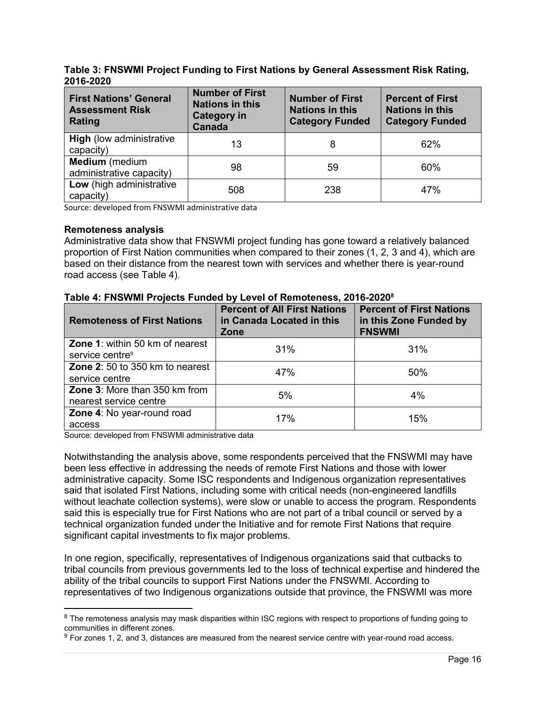#### **Table 3: FNSWMI Project Funding to First Nations by General Assessment Risk Rating, 2016-2020**

| <b>First Nations' General</b><br><b>Assessment Risk</b><br>Rating | <b>Number of First</b><br><b>Nations in this</b><br><b>Category in</b><br><b>Canada</b> | <b>Number of First</b><br><b>Nations in this</b><br><b>Category Funded</b> | <b>Percent of First</b><br><b>Nations in this</b><br><b>Category Funded</b> |
|-------------------------------------------------------------------|-----------------------------------------------------------------------------------------|----------------------------------------------------------------------------|-----------------------------------------------------------------------------|
| <b>High (low administrative)</b><br>capacity)                     | 13                                                                                      | 8                                                                          | 62%                                                                         |
| Medium (medium<br>administrative capacity)                        | 98                                                                                      | 59                                                                         | 60%                                                                         |
| Low (high administrative<br>capacity)                             | 508                                                                                     | 238                                                                        | 47%                                                                         |

Source: developed from FNSWMI administrative data

#### **Remoteness analysis**

Administrative data show that FNSWMI project funding has gone toward a relatively balanced proportion of First Nation communities when compared to their zones (1, 2, 3 and 4), which are based on their distance from the nearest town with services and whether there is year-round road access (see Table 4).

| <b>Remoteness of First Nations</b>     | <b>Percent of All First Nations</b><br>in Canada Located in this<br>Zone | <b>Percent of First Nations</b><br>in this Zone Funded by<br><b>FNSWMI</b> |
|----------------------------------------|--------------------------------------------------------------------------|----------------------------------------------------------------------------|
| Zone 1: within 50 km of nearest        | 31%                                                                      | 31%                                                                        |
| service centre <sup>9</sup>            |                                                                          |                                                                            |
| <b>Zone 2:</b> 50 to 350 km to nearest | 47%                                                                      | 50%                                                                        |
| service centre                         |                                                                          |                                                                            |
| <b>Zone 3: More than 350 km from</b>   | 5%                                                                       | 4%                                                                         |
| nearest service centre                 |                                                                          |                                                                            |
| Zone 4: No year-round road             | 17%                                                                      | 15%                                                                        |
| access                                 |                                                                          |                                                                            |

#### **Table 4: FNSWMI Projects Funded by Level of Remoteness, 2016-20208**

Source: developed from FNSWMI administrative data

Notwithstanding the analysis above, some respondents perceived that the FNSWMI may have been less effective in addressing the needs of remote First Nations and those with lower administrative capacity. Some ISC respondents and Indigenous organization representatives said that isolated First Nations, including some with critical needs (non-engineered landfills without leachate collection systems), were slow or unable to access the program. Respondents said this is especially true for First Nations who are not part of a tribal council or served by a technical organization funded under the Initiative and for remote First Nations that require significant capital investments to fix major problems.

In one region, specifically, representatives of Indigenous organizations said that cutbacks to tribal councils from previous governments led to the loss of technical expertise and hindered the ability of the tribal councils to support First Nations under the FNSWMI. According to representatives of two Indigenous organizations outside that province, the FNSWMI was more

<sup>&</sup>lt;sup>8</sup> The remoteness analysis may mask disparities within ISC regions with respect to proportions of funding going to communities in different zones.

<sup>&</sup>lt;sup>9</sup> For zones 1, 2, and 3, distances are measured from the nearest service centre with year-round road access.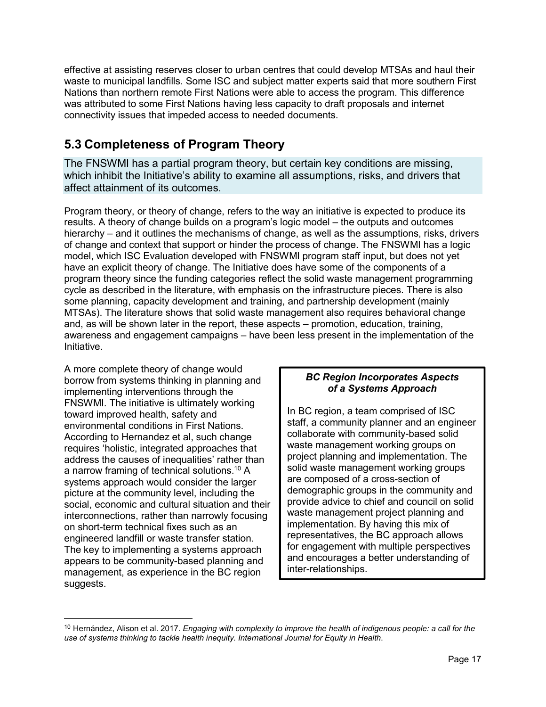effective at assisting reserves closer to urban centres that could develop MTSAs and haul their waste to municipal landfills. Some ISC and subject matter experts said that more southern First Nations than northern remote First Nations were able to access the program. This difference was attributed to some First Nations having less capacity to draft proposals and internet connectivity issues that impeded access to needed documents.

### **5.3 Completeness of Program Theory**

The FNSWMI has a partial program theory, but certain key conditions are missing, which inhibit the Initiative's ability to examine all assumptions, risks, and drivers that affect attainment of its outcomes.

Program theory, or theory of change, refers to the way an initiative is expected to produce its results. A theory of change builds on a program's logic model – the outputs and outcomes hierarchy – and it outlines the mechanisms of change, as well as the assumptions, risks, drivers of change and context that support or hinder the process of change. The FNSWMI has a logic model, which ISC Evaluation developed with FNSWMI program staff input, but does not yet have an explicit theory of change. The Initiative does have some of the components of a program theory since the funding categories reflect the solid waste management programming cycle as described in the literature, with emphasis on the infrastructure pieces. There is also some planning, capacity development and training, and partnership development (mainly MTSAs). The literature shows that solid waste management also requires behavioral change and, as will be shown later in the report, these aspects – promotion, education, training, awareness and engagement campaigns – have been less present in the implementation of the Initiative.

A more complete theory of change would borrow from systems thinking in planning and implementing interventions through the FNSWMI. The initiative is ultimately working toward improved health, safety and environmental conditions in First Nations. According to Hernandez et al, such change requires 'holistic, integrated approaches that address the causes of inequalities' rather than a narrow framing of technical solutions.10 A systems approach would consider the larger picture at the community level, including the social, economic and cultural situation and their interconnections, rather than narrowly focusing on short-term technical fixes such as an engineered landfill or waste transfer station. The key to implementing a systems approach appears to be community-based planning and management, as experience in the BC region suggests.

#### *BC Region Incorporates Aspects of a Systems Approach*

In BC region, a team comprised of ISC staff, a community planner and an engineer collaborate with community-based solid waste management working groups on project planning and implementation. The solid waste management working groups are composed of a cross-section of demographic groups in the community and provide advice to chief and council on solid waste management project planning and implementation. By having this mix of representatives, the BC approach allows for engagement with multiple perspectives and encourages a better understanding of inter-relationships.

 <sup>10</sup> Hernández, Alison et al. 2017. *Engaging with complexity to improve the health of indigenous people: a call for the use of systems thinking to tackle health inequity. International Journal for Equity in Health*.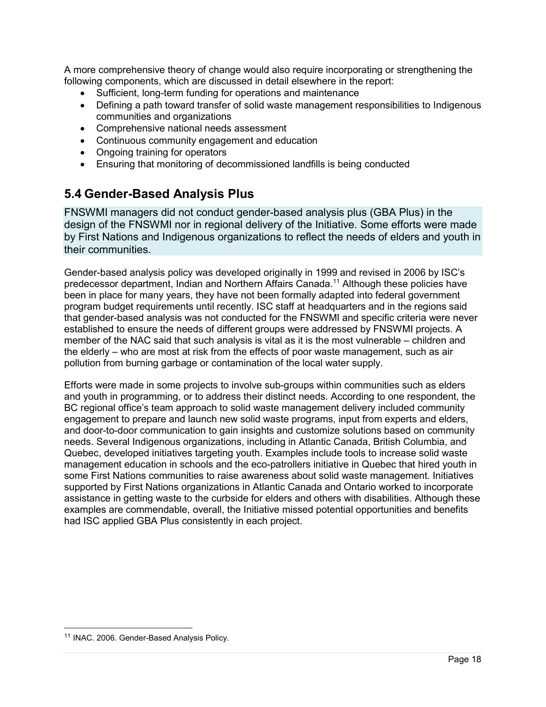A more comprehensive theory of change would also require incorporating or strengthening the following components, which are discussed in detail elsewhere in the report:

- Sufficient, long-term funding for operations and maintenance
- Defining a path toward transfer of solid waste management responsibilities to Indigenous communities and organizations
- Comprehensive national needs assessment
- Continuous community engagement and education
- Ongoing training for operators
- Ensuring that monitoring of decommissioned landfills is being conducted

### **5.4 Gender-Based Analysis Plus**

FNSWMI managers did not conduct gender-based analysis plus (GBA Plus) in the design of the FNSWMI nor in regional delivery of the Initiative. Some efforts were made by First Nations and Indigenous organizations to reflect the needs of elders and youth in their communities.

Gender-based analysis policy was developed originally in 1999 and revised in 2006 by ISC's predecessor department, Indian and Northern Affairs Canada.<sup>11</sup> Although these policies have been in place for many years, they have not been formally adapted into federal government program budget requirements until recently. ISC staff at headquarters and in the regions said that gender-based analysis was not conducted for the FNSWMI and specific criteria were never established to ensure the needs of different groups were addressed by FNSWMI projects. A member of the NAC said that such analysis is vital as it is the most vulnerable – children and the elderly – who are most at risk from the effects of poor waste management, such as air pollution from burning garbage or contamination of the local water supply.

Efforts were made in some projects to involve sub-groups within communities such as elders and youth in programming, or to address their distinct needs. According to one respondent, the BC regional office's team approach to solid waste management delivery included community engagement to prepare and launch new solid waste programs, input from experts and elders, and door-to-door communication to gain insights and customize solutions based on community needs. Several Indigenous organizations, including in Atlantic Canada, British Columbia, and Quebec, developed initiatives targeting youth. Examples include tools to increase solid waste management education in schools and the eco-patrollers initiative in Quebec that hired youth in some First Nations communities to raise awareness about solid waste management. Initiatives supported by First Nations organizations in Atlantic Canada and Ontario worked to incorporate assistance in getting waste to the curbside for elders and others with disabilities. Although these examples are commendable, overall, the Initiative missed potential opportunities and benefits had ISC applied GBA Plus consistently in each project.

 <sup>11</sup> INAC. 2006. Gender-Based Analysis Policy.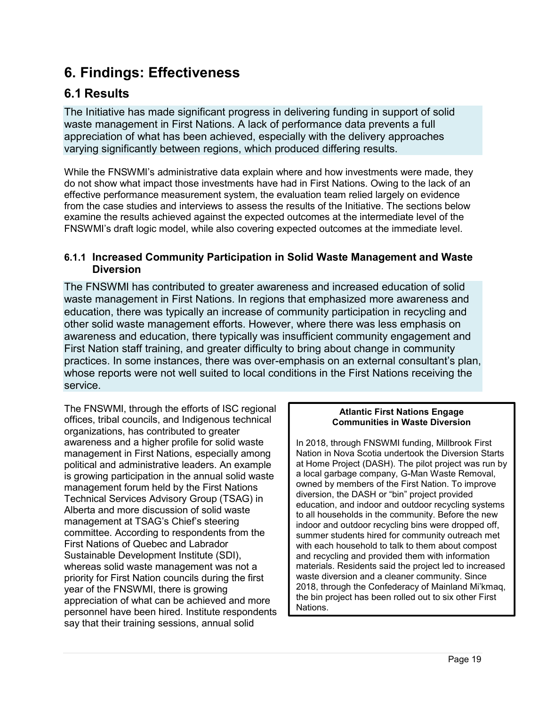# **6. Findings: Effectiveness**

### **6.1 Results**

The Initiative has made significant progress in delivering funding in support of solid waste management in First Nations. A lack of performance data prevents a full appreciation of what has been achieved, especially with the delivery approaches varying significantly between regions, which produced differing results.

While the FNSWMI's administrative data explain where and how investments were made, they do not show what impact those investments have had in First Nations. Owing to the lack of an effective performance measurement system, the evaluation team relied largely on evidence from the case studies and interviews to assess the results of the Initiative. The sections below examine the results achieved against the expected outcomes at the intermediate level of the FNSWMI's draft logic model, while also covering expected outcomes at the immediate level.

#### **6.1.1 Increased Community Participation in Solid Waste Management and Waste Diversion**

The FNSWMI has contributed to greater awareness and increased education of solid waste management in First Nations. In regions that emphasized more awareness and education, there was typically an increase of community participation in recycling and other solid waste management efforts. However, where there was less emphasis on awareness and education, there typically was insufficient community engagement and First Nation staff training, and greater difficulty to bring about change in community practices. In some instances, there was over-emphasis on an external consultant's plan, whose reports were not well suited to local conditions in the First Nations receiving the service.

The FNSWMI, through the efforts of ISC regional offices, tribal councils, and Indigenous technical organizations, has contributed to greater awareness and a higher profile for solid waste management in First Nations, especially among political and administrative leaders. An example is growing participation in the annual solid waste management forum held by the First Nations Technical Services Advisory Group (TSAG) in Alberta and more discussion of solid waste management at TSAG's Chief's steering committee. According to respondents from the First Nations of Quebec and Labrador Sustainable Development Institute (SDI), whereas solid waste management was not a priority for First Nation councils during the first year of the FNSWMI, there is growing appreciation of what can be achieved and more personnel have been hired. Institute respondents say that their training sessions, annual solid

#### **Atlantic First Nations Engage Communities in Waste Diversion**

In 2018, through FNSWMI funding, Millbrook First Nation in Nova Scotia undertook the Diversion Starts at Home Project (DASH). The pilot project was run by a local garbage company, G-Man Waste Removal, owned by members of the First Nation. To improve diversion, the DASH or "bin" project provided education, and indoor and outdoor recycling systems to all households in the community. Before the new indoor and outdoor recycling bins were dropped off, summer students hired for community outreach met with each household to talk to them about compost and recycling and provided them with information materials. Residents said the project led to increased waste diversion and a cleaner community. Since 2018, through the Confederacy of Mainland Mi'kmaq, the bin project has been rolled out to six other First Nations.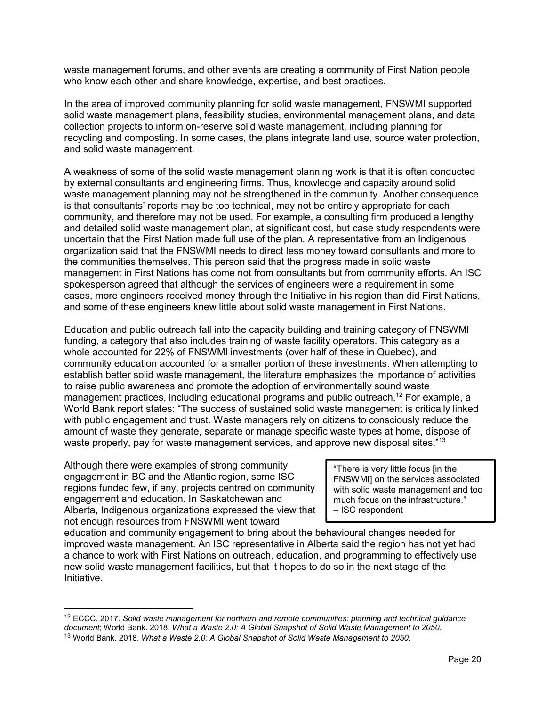waste management forums, and other events are creating a community of First Nation people who know each other and share knowledge, expertise, and best practices.

In the area of improved community planning for solid waste management, FNSWMI supported solid waste management plans, feasibility studies, environmental management plans, and data collection projects to inform on-reserve solid waste management, including planning for recycling and composting. In some cases, the plans integrate land use, source water protection, and solid waste management.

A weakness of some of the solid waste management planning work is that it is often conducted by external consultants and engineering firms. Thus, knowledge and capacity around solid waste management planning may not be strengthened in the community. Another consequence is that consultants' reports may be too technical, may not be entirely appropriate for each community, and therefore may not be used. For example, a consulting firm produced a lengthy and detailed solid waste management plan, at significant cost, but case study respondents were uncertain that the First Nation made full use of the plan. A representative from an Indigenous organization said that the FNSWMI needs to direct less money toward consultants and more to the communities themselves. This person said that the progress made in solid waste management in First Nations has come not from consultants but from community efforts. An ISC spokesperson agreed that although the services of engineers were a requirement in some cases, more engineers received money through the Initiative in his region than did First Nations, and some of these engineers knew little about solid waste management in First Nations.

Education and public outreach fall into the capacity building and training category of FNSWMI funding, a category that also includes training of waste facility operators. This category as a whole accounted for 22% of FNSWMI investments (over half of these in Quebec), and community education accounted for a smaller portion of these investments. When attempting to establish better solid waste management, the literature emphasizes the importance of activities to raise public awareness and promote the adoption of environmentally sound waste management practices, including educational programs and public outreach. <sup>12</sup> For example, a World Bank report states: "The success of sustained solid waste management is critically linked with public engagement and trust. Waste managers rely on citizens to consciously reduce the amount of waste they generate, separate or manage specific waste types at home, dispose of waste properly, pay for waste management services, and approve new disposal sites."<sup>13</sup>

Although there were examples of strong community engagement in BC and the Atlantic region, some ISC regions funded few, if any, projects centred on community engagement and education. In Saskatchewan and Alberta, Indigenous organizations expressed the view that not enough resources from FNSWMI went toward

"There is very little focus [in the FNSWMI] on the services associated with solid waste management and too much focus on the infrastructure." – ISC respondent

education and community engagement to bring about the behavioural changes needed for improved waste management. An ISC representative in Alberta said the region has not yet had a chance to work with First Nations on outreach, education, and programming to effectively use new solid waste management facilities, but that it hopes to do so in the next stage of the Initiative.

 <sup>12</sup> ECCC. 2017. *Solid waste management for northern and remote communities: planning and technical guidance document*; World Bank. 2018. *What a Waste 2.0: A Global Snapshot of Solid Waste Management to 2050*. <sup>13</sup> World Bank. 2018. *What a Waste 2.0: A Global Snapshot of Solid Waste Management to 2050*.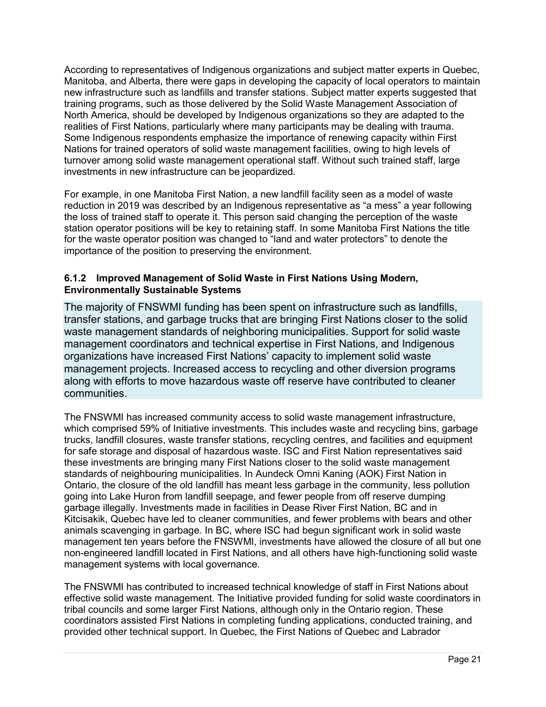According to representatives of Indigenous organizations and subject matter experts in Quebec, Manitoba, and Alberta, there were gaps in developing the capacity of local operators to maintain new infrastructure such as landfills and transfer stations. Subject matter experts suggested that training programs, such as those delivered by the Solid Waste Management Association of North America, should be developed by Indigenous organizations so they are adapted to the realities of First Nations, particularly where many participants may be dealing with trauma. Some Indigenous respondents emphasize the importance of renewing capacity within First Nations for trained operators of solid waste management facilities, owing to high levels of turnover among solid waste management operational staff. Without such trained staff, large investments in new infrastructure can be jeopardized.

For example, in one Manitoba First Nation, a new landfill facility seen as a model of waste reduction in 2019 was described by an Indigenous representative as "a mess" a year following the loss of trained staff to operate it. This person said changing the perception of the waste station operator positions will be key to retaining staff. In some Manitoba First Nations the title for the waste operator position was changed to "land and water protectors" to denote the importance of the position to preserving the environment.

#### **6.1.2 Improved Management of Solid Waste in First Nations Using Modern, Environmentally Sustainable Systems**

The majority of FNSWMI funding has been spent on infrastructure such as landfills, transfer stations, and garbage trucks that are bringing First Nations closer to the solid waste management standards of neighboring municipalities. Support for solid waste management coordinators and technical expertise in First Nations, and Indigenous organizations have increased First Nations' capacity to implement solid waste management projects. Increased access to recycling and other diversion programs along with efforts to move hazardous waste off reserve have contributed to cleaner communities.

The FNSWMI has increased community access to solid waste management infrastructure, which comprised 59% of Initiative investments. This includes waste and recycling bins, garbage trucks, landfill closures, waste transfer stations, recycling centres, and facilities and equipment for safe storage and disposal of hazardous waste. ISC and First Nation representatives said these investments are bringing many First Nations closer to the solid waste management standards of neighbouring municipalities. In Aundeck Omni Kaning (AOK) First Nation in Ontario, the closure of the old landfill has meant less garbage in the community, less pollution going into Lake Huron from landfill seepage, and fewer people from off reserve dumping garbage illegally. Investments made in facilities in Dease River First Nation, BC and in Kitcisakik, Quebec have led to cleaner communities, and fewer problems with bears and other animals scavenging in garbage. In BC, where ISC had begun significant work in solid waste management ten years before the FNSWMI, investments have allowed the closure of all but one non-engineered landfill located in First Nations, and all others have high-functioning solid waste management systems with local governance.

The FNSWMI has contributed to increased technical knowledge of staff in First Nations about effective solid waste management. The Initiative provided funding for solid waste coordinators in tribal councils and some larger First Nations, although only in the Ontario region. These coordinators assisted First Nations in completing funding applications, conducted training, and provided other technical support. In Quebec, the First Nations of Quebec and Labrador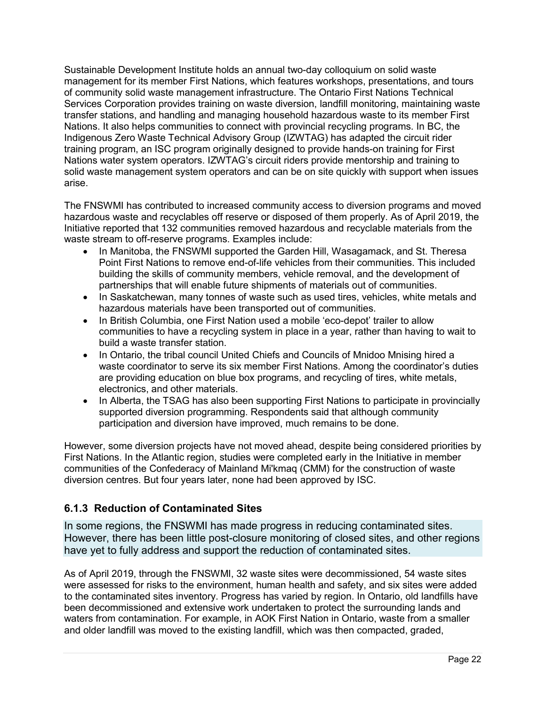Sustainable Development Institute holds an annual two-day colloquium on solid waste management for its member First Nations, which features workshops, presentations, and tours of community solid waste management infrastructure. The Ontario First Nations Technical Services Corporation provides training on waste diversion, landfill monitoring, maintaining waste transfer stations, and handling and managing household hazardous waste to its member First Nations. It also helps communities to connect with provincial recycling programs. In BC, the Indigenous Zero Waste Technical Advisory Group (IZWTAG) has adapted the circuit rider training program, an ISC program originally designed to provide hands-on training for First Nations water system operators. IZWTAG's circuit riders provide mentorship and training to solid waste management system operators and can be on site quickly with support when issues arise.

The FNSWMI has contributed to increased community access to diversion programs and moved hazardous waste and recyclables off reserve or disposed of them properly. As of April 2019, the Initiative reported that 132 communities removed hazardous and recyclable materials from the waste stream to off-reserve programs. Examples include:

- In Manitoba, the FNSWMI supported the Garden Hill, Wasagamack, and St. Theresa Point First Nations to remove end-of-life vehicles from their communities. This included building the skills of community members, vehicle removal, and the development of partnerships that will enable future shipments of materials out of communities.
- In Saskatchewan, many tonnes of waste such as used tires, vehicles, white metals and hazardous materials have been transported out of communities.
- In British Columbia, one First Nation used a mobile 'eco-depot' trailer to allow communities to have a recycling system in place in a year, rather than having to wait to build a waste transfer station.
- In Ontario, the tribal council United Chiefs and Councils of Mnidoo Mnising hired a waste coordinator to serve its six member First Nations. Among the coordinator's duties are providing education on blue box programs, and recycling of tires, white metals, electronics, and other materials.
- In Alberta, the TSAG has also been supporting First Nations to participate in provincially supported diversion programming. Respondents said that although community participation and diversion have improved, much remains to be done.

However, some diversion projects have not moved ahead, despite being considered priorities by First Nations. In the Atlantic region, studies were completed early in the Initiative in member communities of the Confederacy of Mainland Mi'kmaq (CMM) for the construction of waste diversion centres. But four years later, none had been approved by ISC.

#### **6.1.3 Reduction of Contaminated Sites**

In some regions, the FNSWMI has made progress in reducing contaminated sites. However, there has been little post-closure monitoring of closed sites, and other regions have yet to fully address and support the reduction of contaminated sites.

As of April 2019, through the FNSWMI, 32 waste sites were decommissioned, 54 waste sites were assessed for risks to the environment, human health and safety, and six sites were added to the contaminated sites inventory. Progress has varied by region. In Ontario, old landfills have been decommissioned and extensive work undertaken to protect the surrounding lands and waters from contamination. For example, in AOK First Nation in Ontario, waste from a smaller and older landfill was moved to the existing landfill, which was then compacted, graded,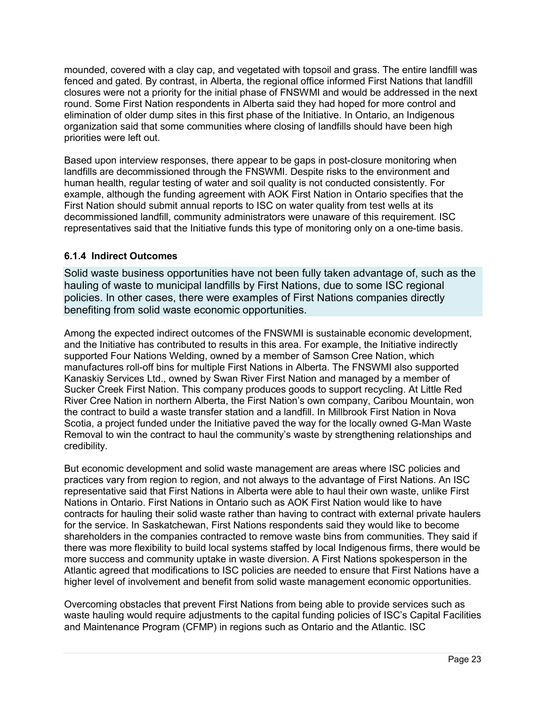mounded, covered with a clay cap, and vegetated with topsoil and grass. The entire landfill was fenced and gated. By contrast, in Alberta, the regional office informed First Nations that landfill closures were not a priority for the initial phase of FNSWMI and would be addressed in the next round. Some First Nation respondents in Alberta said they had hoped for more control and elimination of older dump sites in this first phase of the Initiative. In Ontario, an Indigenous organization said that some communities where closing of landfills should have been high priorities were left out.

Based upon interview responses, there appear to be gaps in post-closure monitoring when landfills are decommissioned through the FNSWMI. Despite risks to the environment and human health, regular testing of water and soil quality is not conducted consistently. For example, although the funding agreement with AOK First Nation in Ontario specifies that the First Nation should submit annual reports to ISC on water quality from test wells at its decommissioned landfill, community administrators were unaware of this requirement. ISC representatives said that the Initiative funds this type of monitoring only on a one-time basis.

#### **6.1.4 Indirect Outcomes**

Solid waste business opportunities have not been fully taken advantage of, such as the hauling of waste to municipal landfills by First Nations, due to some ISC regional policies. In other cases, there were examples of First Nations companies directly benefiting from solid waste economic opportunities.

Among the expected indirect outcomes of the FNSWMI is sustainable economic development, and the Initiative has contributed to results in this area. For example, the Initiative indirectly supported Four Nations Welding, owned by a member of Samson Cree Nation, which manufactures roll-off bins for multiple First Nations in Alberta. The FNSWMI also supported Kanaskiy Services Ltd., owned by Swan River First Nation and managed by a member of Sucker Creek First Nation. This company produces goods to support recycling. At Little Red River Cree Nation in northern Alberta, the First Nation's own company, Caribou Mountain, won the contract to build a waste transfer station and a landfill. In Millbrook First Nation in Nova Scotia, a project funded under the Initiative paved the way for the locally owned G-Man Waste Removal to win the contract to haul the community's waste by strengthening relationships and credibility.

But economic development and solid waste management are areas where ISC policies and practices vary from region to region, and not always to the advantage of First Nations. An ISC representative said that First Nations in Alberta were able to haul their own waste, unlike First Nations in Ontario. First Nations in Ontario such as AOK First Nation would like to have contracts for hauling their solid waste rather than having to contract with external private haulers for the service. In Saskatchewan, First Nations respondents said they would like to become shareholders in the companies contracted to remove waste bins from communities. They said if there was more flexibility to build local systems staffed by local Indigenous firms, there would be more success and community uptake in waste diversion. A First Nations spokesperson in the Atlantic agreed that modifications to ISC policies are needed to ensure that First Nations have a higher level of involvement and benefit from solid waste management economic opportunities.

Overcoming obstacles that prevent First Nations from being able to provide services such as waste hauling would require adjustments to the capital funding policies of ISC's Capital Facilities and Maintenance Program (CFMP) in regions such as Ontario and the Atlantic. ISC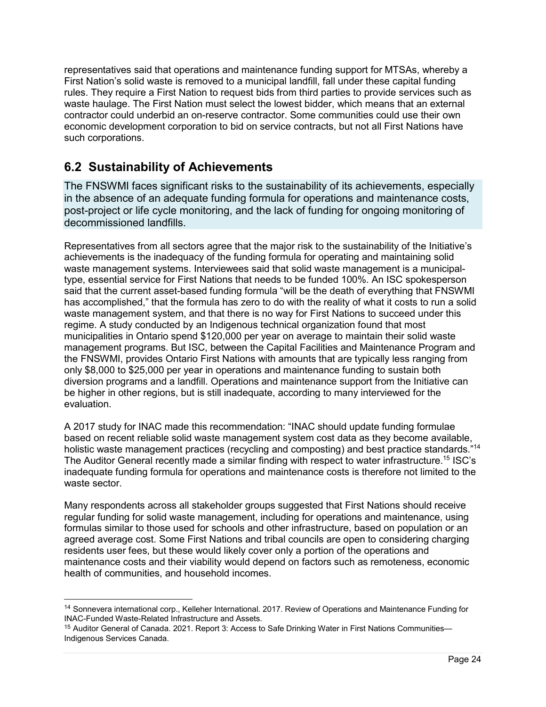representatives said that operations and maintenance funding support for MTSAs, whereby a First Nation's solid waste is removed to a municipal landfill, fall under these capital funding rules. They require a First Nation to request bids from third parties to provide services such as waste haulage. The First Nation must select the lowest bidder, which means that an external contractor could underbid an on-reserve contractor. Some communities could use their own economic development corporation to bid on service contracts, but not all First Nations have such corporations.

### **6.2 Sustainability of Achievements**

The FNSWMI faces significant risks to the sustainability of its achievements, especially in the absence of an adequate funding formula for operations and maintenance costs, post-project or life cycle monitoring, and the lack of funding for ongoing monitoring of decommissioned landfills.

Representatives from all sectors agree that the major risk to the sustainability of the Initiative's achievements is the inadequacy of the funding formula for operating and maintaining solid waste management systems. Interviewees said that solid waste management is a municipaltype, essential service for First Nations that needs to be funded 100%. An ISC spokesperson said that the current asset-based funding formula "will be the death of everything that FNSWMI has accomplished," that the formula has zero to do with the reality of what it costs to run a solid waste management system, and that there is no way for First Nations to succeed under this regime. A study conducted by an Indigenous technical organization found that most municipalities in Ontario spend \$120,000 per year on average to maintain their solid waste management programs. But ISC, between the Capital Facilities and Maintenance Program and the FNSWMI, provides Ontario First Nations with amounts that are typically less ranging from only \$8,000 to \$25,000 per year in operations and maintenance funding to sustain both diversion programs and a landfill. Operations and maintenance support from the Initiative can be higher in other regions, but is still inadequate, according to many interviewed for the evaluation.

A 2017 study for INAC made this recommendation: "INAC should update funding formulae based on recent reliable solid waste management system cost data as they become available, holistic waste management practices (recycling and composting) and best practice standards."<sup>14</sup> The Auditor General recently made a similar finding with respect to water infrastructure.<sup>15</sup> ISC's inadequate funding formula for operations and maintenance costs is therefore not limited to the waste sector.

Many respondents across all stakeholder groups suggested that First Nations should receive regular funding for solid waste management, including for operations and maintenance, using formulas similar to those used for schools and other infrastructure, based on population or an agreed average cost. Some First Nations and tribal councils are open to considering charging residents user fees, but these would likely cover only a portion of the operations and maintenance costs and their viability would depend on factors such as remoteness, economic health of communities, and household incomes.

<sup>&</sup>lt;sup>14</sup> Sonnevera international corp., Kelleher International. 2017. Review of Operations and Maintenance Funding for INAC-Funded Waste-Related Infrastructure and Assets.

<sup>&</sup>lt;sup>15</sup> Auditor General of Canada. 2021. Report 3: Access to Safe Drinking Water in First Nations Communities— Indigenous Services Canada.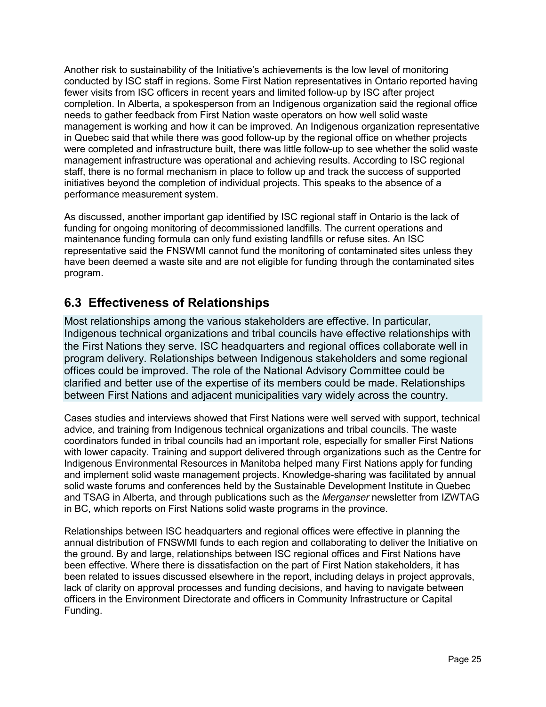Another risk to sustainability of the Initiative's achievements is the low level of monitoring conducted by ISC staff in regions. Some First Nation representatives in Ontario reported having fewer visits from ISC officers in recent years and limited follow-up by ISC after project completion. In Alberta, a spokesperson from an Indigenous organization said the regional office needs to gather feedback from First Nation waste operators on how well solid waste management is working and how it can be improved. An Indigenous organization representative in Quebec said that while there was good follow-up by the regional office on whether projects were completed and infrastructure built, there was little follow-up to see whether the solid waste management infrastructure was operational and achieving results. According to ISC regional staff, there is no formal mechanism in place to follow up and track the success of supported initiatives beyond the completion of individual projects. This speaks to the absence of a performance measurement system.

As discussed, another important gap identified by ISC regional staff in Ontario is the lack of funding for ongoing monitoring of decommissioned landfills. The current operations and maintenance funding formula can only fund existing landfills or refuse sites. An ISC representative said the FNSWMI cannot fund the monitoring of contaminated sites unless they have been deemed a waste site and are not eligible for funding through the contaminated sites program.

### **6.3 Effectiveness of Relationships**

Most relationships among the various stakeholders are effective. In particular, Indigenous technical organizations and tribal councils have effective relationships with the First Nations they serve. ISC headquarters and regional offices collaborate well in program delivery. Relationships between Indigenous stakeholders and some regional offices could be improved. The role of the National Advisory Committee could be clarified and better use of the expertise of its members could be made. Relationships between First Nations and adjacent municipalities vary widely across the country.

Cases studies and interviews showed that First Nations were well served with support, technical advice, and training from Indigenous technical organizations and tribal councils. The waste coordinators funded in tribal councils had an important role, especially for smaller First Nations with lower capacity. Training and support delivered through organizations such as the Centre for Indigenous Environmental Resources in Manitoba helped many First Nations apply for funding and implement solid waste management projects. Knowledge-sharing was facilitated by annual solid waste forums and conferences held by the Sustainable Development Institute in Quebec and TSAG in Alberta, and through publications such as the *Merganser* newsletter from IZWTAG in BC, which reports on First Nations solid waste programs in the province.

Relationships between ISC headquarters and regional offices were effective in planning the annual distribution of FNSWMI funds to each region and collaborating to deliver the Initiative on the ground. By and large, relationships between ISC regional offices and First Nations have been effective. Where there is dissatisfaction on the part of First Nation stakeholders, it has been related to issues discussed elsewhere in the report, including delays in project approvals, lack of clarity on approval processes and funding decisions, and having to navigate between officers in the Environment Directorate and officers in Community Infrastructure or Capital Funding.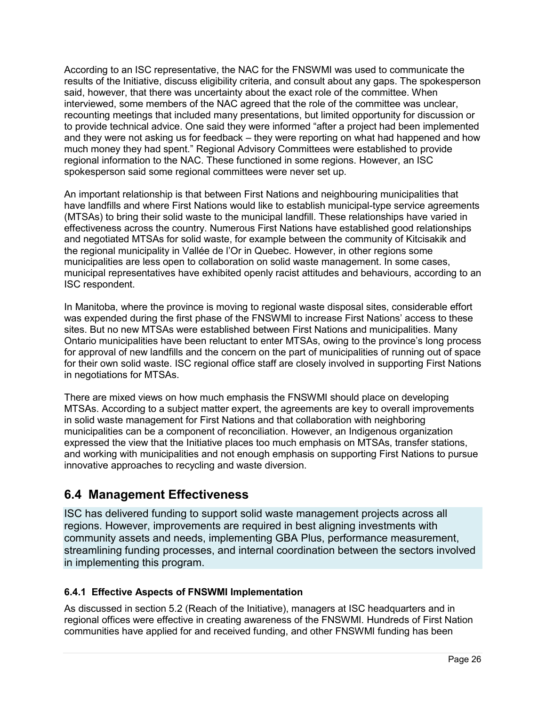According to an ISC representative, the NAC for the FNSWMI was used to communicate the results of the Initiative, discuss eligibility criteria, and consult about any gaps. The spokesperson said, however, that there was uncertainty about the exact role of the committee. When interviewed, some members of the NAC agreed that the role of the committee was unclear, recounting meetings that included many presentations, but limited opportunity for discussion or to provide technical advice. One said they were informed "after a project had been implemented and they were not asking us for feedback – they were reporting on what had happened and how much money they had spent." Regional Advisory Committees were established to provide regional information to the NAC. These functioned in some regions. However, an ISC spokesperson said some regional committees were never set up.

An important relationship is that between First Nations and neighbouring municipalities that have landfills and where First Nations would like to establish municipal-type service agreements (MTSAs) to bring their solid waste to the municipal landfill. These relationships have varied in effectiveness across the country. Numerous First Nations have established good relationships and negotiated MTSAs for solid waste, for example between the community of Kitcisakik and the regional municipality in Vallée de l'Or in Quebec. However, in other regions some municipalities are less open to collaboration on solid waste management. In some cases, municipal representatives have exhibited openly racist attitudes and behaviours, according to an ISC respondent.

In Manitoba, where the province is moving to regional waste disposal sites, considerable effort was expended during the first phase of the FNSWMI to increase First Nations' access to these sites. But no new MTSAs were established between First Nations and municipalities. Many Ontario municipalities have been reluctant to enter MTSAs, owing to the province's long process for approval of new landfills and the concern on the part of municipalities of running out of space for their own solid waste. ISC regional office staff are closely involved in supporting First Nations in negotiations for MTSAs.

There are mixed views on how much emphasis the FNSWMI should place on developing MTSAs. According to a subject matter expert, the agreements are key to overall improvements in solid waste management for First Nations and that collaboration with neighboring municipalities can be a component of reconciliation. However, an Indigenous organization expressed the view that the Initiative places too much emphasis on MTSAs, transfer stations, and working with municipalities and not enough emphasis on supporting First Nations to pursue innovative approaches to recycling and waste diversion.

### **6.4 Management Effectiveness**

ISC has delivered funding to support solid waste management projects across all regions. However, improvements are required in best aligning investments with community assets and needs, implementing GBA Plus, performance measurement, streamlining funding processes, and internal coordination between the sectors involved in implementing this program.

#### **6.4.1 Effective Aspects of FNSWMI Implementation**

As discussed in section 5.2 (Reach of the Initiative), managers at ISC headquarters and in regional offices were effective in creating awareness of the FNSWMI. Hundreds of First Nation communities have applied for and received funding, and other FNSWMI funding has been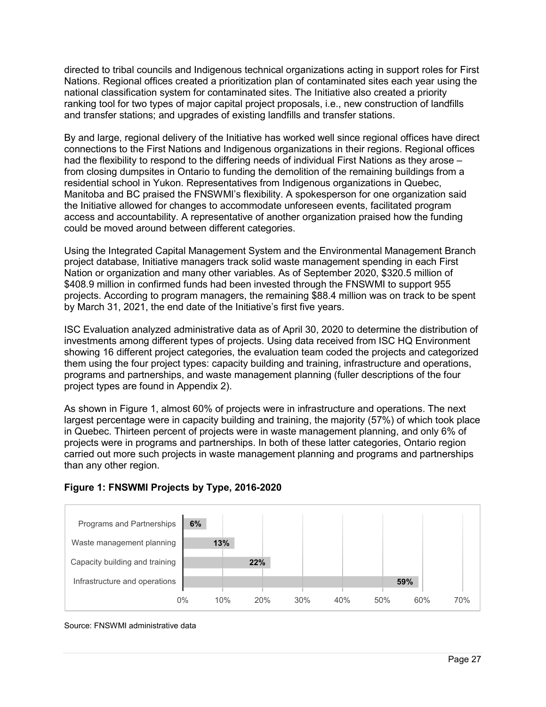directed to tribal councils and Indigenous technical organizations acting in support roles for First Nations. Regional offices created a prioritization plan of contaminated sites each year using the national classification system for contaminated sites. The Initiative also created a priority ranking tool for two types of major capital project proposals, i.e., new construction of landfills and transfer stations; and upgrades of existing landfills and transfer stations.

By and large, regional delivery of the Initiative has worked well since regional offices have direct connections to the First Nations and Indigenous organizations in their regions. Regional offices had the flexibility to respond to the differing needs of individual First Nations as they arose – from closing dumpsites in Ontario to funding the demolition of the remaining buildings from a residential school in Yukon. Representatives from Indigenous organizations in Quebec, Manitoba and BC praised the FNSWMI's flexibility. A spokesperson for one organization said the Initiative allowed for changes to accommodate unforeseen events, facilitated program access and accountability. A representative of another organization praised how the funding could be moved around between different categories.

Using the Integrated Capital Management System and the Environmental Management Branch project database, Initiative managers track solid waste management spending in each First Nation or organization and many other variables. As of September 2020, \$320.5 million of \$408.9 million in confirmed funds had been invested through the FNSWMI to support 955 projects. According to program managers, the remaining \$88.4 million was on track to be spent by March 31, 2021, the end date of the Initiative's first five years.

ISC Evaluation analyzed administrative data as of April 30, 2020 to determine the distribution of investments among different types of projects. Using data received from ISC HQ Environment showing 16 different project categories, the evaluation team coded the projects and categorized them using the four project types: capacity building and training, infrastructure and operations, programs and partnerships, and waste management planning (fuller descriptions of the four project types are found in Appendix 2).

As shown in Figure 1, almost 60% of projects were in infrastructure and operations. The next largest percentage were in capacity building and training, the majority (57%) of which took place in Quebec. Thirteen percent of projects were in waste management planning, and only 6% of projects were in programs and partnerships. In both of these latter categories, Ontario region carried out more such projects in waste management planning and programs and partnerships than any other region.

#### **Figure 1: FNSWMI Projects by Type, 2016-2020**



#### Source: FNSWMI administrative data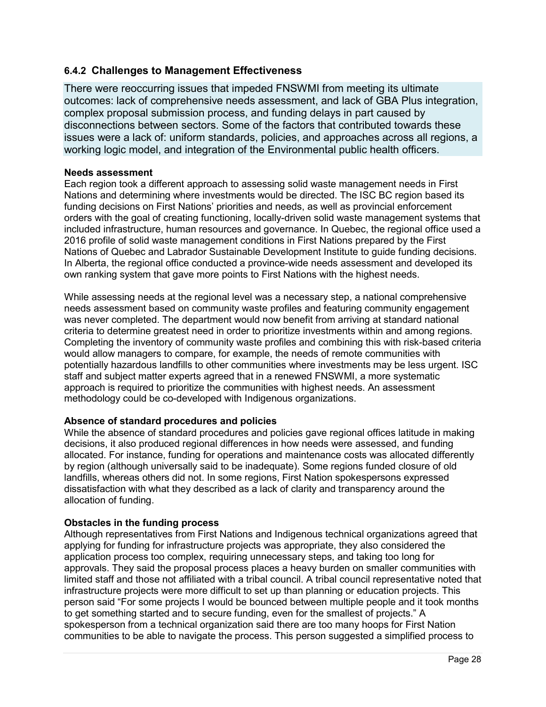#### **6.4.2 Challenges to Management Effectiveness**

There were reoccurring issues that impeded FNSWMI from meeting its ultimate outcomes: lack of comprehensive needs assessment, and lack of GBA Plus integration, complex proposal submission process, and funding delays in part caused by disconnections between sectors. Some of the factors that contributed towards these issues were a lack of: uniform standards, policies, and approaches across all regions, a working logic model, and integration of the Environmental public health officers.

#### **Needs assessment**

Each region took a different approach to assessing solid waste management needs in First Nations and determining where investments would be directed. The ISC BC region based its funding decisions on First Nations' priorities and needs, as well as provincial enforcement orders with the goal of creating functioning, locally-driven solid waste management systems that included infrastructure, human resources and governance. In Quebec, the regional office used a 2016 profile of solid waste management conditions in First Nations prepared by the First Nations of Quebec and Labrador Sustainable Development Institute to guide funding decisions. In Alberta, the regional office conducted a province-wide needs assessment and developed its own ranking system that gave more points to First Nations with the highest needs.

While assessing needs at the regional level was a necessary step, a national comprehensive needs assessment based on community waste profiles and featuring community engagement was never completed. The department would now benefit from arriving at standard national criteria to determine greatest need in order to prioritize investments within and among regions. Completing the inventory of community waste profiles and combining this with risk-based criteria would allow managers to compare, for example, the needs of remote communities with potentially hazardous landfills to other communities where investments may be less urgent. ISC staff and subject matter experts agreed that in a renewed FNSWMI, a more systematic approach is required to prioritize the communities with highest needs. An assessment methodology could be co-developed with Indigenous organizations.

#### **Absence of standard procedures and policies**

While the absence of standard procedures and policies gave regional offices latitude in making decisions, it also produced regional differences in how needs were assessed, and funding allocated. For instance, funding for operations and maintenance costs was allocated differently by region (although universally said to be inadequate). Some regions funded closure of old landfills, whereas others did not. In some regions, First Nation spokespersons expressed dissatisfaction with what they described as a lack of clarity and transparency around the allocation of funding.

#### **Obstacles in the funding process**

Although representatives from First Nations and Indigenous technical organizations agreed that applying for funding for infrastructure projects was appropriate, they also considered the application process too complex, requiring unnecessary steps, and taking too long for approvals. They said the proposal process places a heavy burden on smaller communities with limited staff and those not affiliated with a tribal council. A tribal council representative noted that infrastructure projects were more difficult to set up than planning or education projects. This person said "For some projects I would be bounced between multiple people and it took months to get something started and to secure funding, even for the smallest of projects." A spokesperson from a technical organization said there are too many hoops for First Nation communities to be able to navigate the process. This person suggested a simplified process to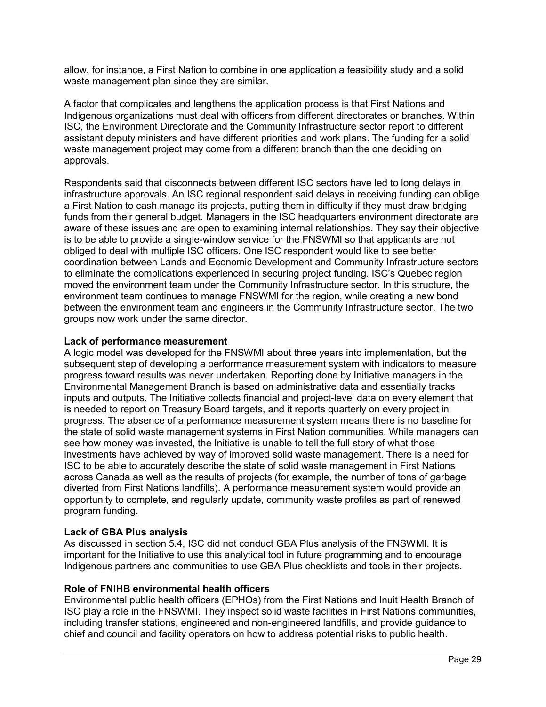allow, for instance, a First Nation to combine in one application a feasibility study and a solid waste management plan since they are similar.

A factor that complicates and lengthens the application process is that First Nations and Indigenous organizations must deal with officers from different directorates or branches. Within ISC, the Environment Directorate and the Community Infrastructure sector report to different assistant deputy ministers and have different priorities and work plans. The funding for a solid waste management project may come from a different branch than the one deciding on approvals.

Respondents said that disconnects between different ISC sectors have led to long delays in infrastructure approvals. An ISC regional respondent said delays in receiving funding can oblige a First Nation to cash manage its projects, putting them in difficulty if they must draw bridging funds from their general budget. Managers in the ISC headquarters environment directorate are aware of these issues and are open to examining internal relationships. They say their objective is to be able to provide a single-window service for the FNSWMI so that applicants are not obliged to deal with multiple ISC officers. One ISC respondent would like to see better coordination between Lands and Economic Development and Community Infrastructure sectors to eliminate the complications experienced in securing project funding. ISC's Quebec region moved the environment team under the Community Infrastructure sector. In this structure, the environment team continues to manage FNSWMI for the region, while creating a new bond between the environment team and engineers in the Community Infrastructure sector. The two groups now work under the same director.

#### **Lack of performance measurement**

A logic model was developed for the FNSWMI about three years into implementation, but the subsequent step of developing a performance measurement system with indicators to measure progress toward results was never undertaken. Reporting done by Initiative managers in the Environmental Management Branch is based on administrative data and essentially tracks inputs and outputs. The Initiative collects financial and project-level data on every element that is needed to report on Treasury Board targets, and it reports quarterly on every project in progress. The absence of a performance measurement system means there is no baseline for the state of solid waste management systems in First Nation communities. While managers can see how money was invested, the Initiative is unable to tell the full story of what those investments have achieved by way of improved solid waste management. There is a need for ISC to be able to accurately describe the state of solid waste management in First Nations across Canada as well as the results of projects (for example, the number of tons of garbage diverted from First Nations landfills). A performance measurement system would provide an opportunity to complete, and regularly update, community waste profiles as part of renewed program funding.

#### **Lack of GBA Plus analysis**

As discussed in section 5.4, ISC did not conduct GBA Plus analysis of the FNSWMI. It is important for the Initiative to use this analytical tool in future programming and to encourage Indigenous partners and communities to use GBA Plus checklists and tools in their projects.

#### **Role of FNIHB environmental health officers**

Environmental public health officers (EPHOs) from the First Nations and Inuit Health Branch of ISC play a role in the FNSWMI. They inspect solid waste facilities in First Nations communities, including transfer stations, engineered and non-engineered landfills, and provide guidance to chief and council and facility operators on how to address potential risks to public health.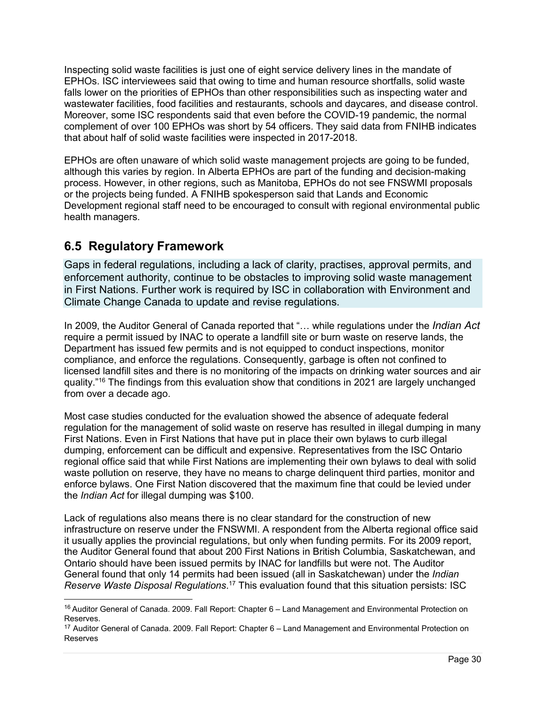Inspecting solid waste facilities is just one of eight service delivery lines in the mandate of EPHOs. ISC interviewees said that owing to time and human resource shortfalls, solid waste falls lower on the priorities of EPHOs than other responsibilities such as inspecting water and wastewater facilities, food facilities and restaurants, schools and daycares, and disease control. Moreover, some ISC respondents said that even before the COVID-19 pandemic, the normal complement of over 100 EPHOs was short by 54 officers. They said data from FNIHB indicates that about half of solid waste facilities were inspected in 2017-2018.

EPHOs are often unaware of which solid waste management projects are going to be funded, although this varies by region. In Alberta EPHOs are part of the funding and decision-making process. However, in other regions, such as Manitoba, EPHOs do not see FNSWMI proposals or the projects being funded. A FNIHB spokesperson said that Lands and Economic Development regional staff need to be encouraged to consult with regional environmental public health managers.

### **6.5 Regulatory Framework**

Gaps in federal regulations, including a lack of clarity, practises, approval permits, and enforcement authority, continue to be obstacles to improving solid waste management in First Nations. Further work is required by ISC in collaboration with Environment and Climate Change Canada to update and revise regulations.

In 2009, the Auditor General of Canada reported that "… while regulations under the *Indian Act* require a permit issued by INAC to operate a landfill site or burn waste on reserve lands, the Department has issued few permits and is not equipped to conduct inspections, monitor compliance, and enforce the regulations. Consequently, garbage is often not confined to licensed landfill sites and there is no monitoring of the impacts on drinking water sources and air quality."<sup>16</sup> The findings from this evaluation show that conditions in 2021 are largely unchanged from over a decade ago.

Most case studies conducted for the evaluation showed the absence of adequate federal regulation for the management of solid waste on reserve has resulted in illegal dumping in many First Nations. Even in First Nations that have put in place their own bylaws to curb illegal dumping, enforcement can be difficult and expensive. Representatives from the ISC Ontario regional office said that while First Nations are implementing their own bylaws to deal with solid waste pollution on reserve, they have no means to charge delinquent third parties, monitor and enforce bylaws. One First Nation discovered that the maximum fine that could be levied under the *Indian Act* for illegal dumping was \$100.

Lack of regulations also means there is no clear standard for the construction of new infrastructure on reserve under the FNSWMI. A respondent from the Alberta regional office said it usually applies the provincial regulations, but only when funding permits. For its 2009 report, the Auditor General found that about 200 First Nations in British Columbia, Saskatchewan, and Ontario should have been issued permits by INAC for landfills but were not. The Auditor General found that only 14 permits had been issued (all in Saskatchewan) under the *Indian Reserve Waste Disposal Regulations*. <sup>17</sup> This evaluation found that this situation persists: ISC

<sup>&</sup>lt;sup>16</sup> Auditor General of Canada. 2009. Fall Report: Chapter 6 – Land Management and Environmental Protection on Reserves.

<sup>&</sup>lt;sup>17</sup> Auditor General of Canada. 2009. Fall Report: Chapter 6 - Land Management and Environmental Protection on Reserves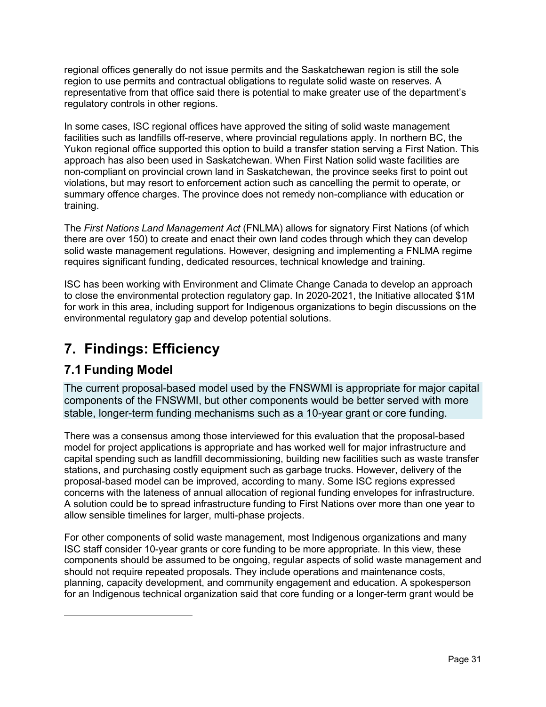regional offices generally do not issue permits and the Saskatchewan region is still the sole region to use permits and contractual obligations to regulate solid waste on reserves. A representative from that office said there is potential to make greater use of the department's regulatory controls in other regions.

In some cases, ISC regional offices have approved the siting of solid waste management facilities such as landfills off-reserve, where provincial regulations apply. In northern BC, the Yukon regional office supported this option to build a transfer station serving a First Nation. This approach has also been used in Saskatchewan. When First Nation solid waste facilities are non-compliant on provincial crown land in Saskatchewan, the province seeks first to point out violations, but may resort to enforcement action such as cancelling the permit to operate, or summary offence charges. The province does not remedy non-compliance with education or training.

The *First Nations Land Management Act* (FNLMA) allows for signatory First Nations (of which there are over 150) to create and enact their own land codes through which they can develop solid waste management regulations. However, designing and implementing a FNLMA regime requires significant funding, dedicated resources, technical knowledge and training.

ISC has been working with Environment and Climate Change Canada to develop an approach to close the environmental protection regulatory gap. In 2020-2021, the Initiative allocated \$1M for work in this area, including support for Indigenous organizations to begin discussions on the environmental regulatory gap and develop potential solutions.

# **7. Findings: Efficiency**

### **7.1 Funding Model**

-

The current proposal-based model used by the FNSWMI is appropriate for major capital components of the FNSWMI, but other components would be better served with more stable, longer-term funding mechanisms such as a 10-year grant or core funding.

There was a consensus among those interviewed for this evaluation that the proposal-based model for project applications is appropriate and has worked well for major infrastructure and capital spending such as landfill decommissioning, building new facilities such as waste transfer stations, and purchasing costly equipment such as garbage trucks. However, delivery of the proposal-based model can be improved, according to many. Some ISC regions expressed concerns with the lateness of annual allocation of regional funding envelopes for infrastructure. A solution could be to spread infrastructure funding to First Nations over more than one year to allow sensible timelines for larger, multi-phase projects.

For other components of solid waste management, most Indigenous organizations and many ISC staff consider 10-year grants or core funding to be more appropriate. In this view, these components should be assumed to be ongoing, regular aspects of solid waste management and should not require repeated proposals. They include operations and maintenance costs, planning, capacity development, and community engagement and education. A spokesperson for an Indigenous technical organization said that core funding or a longer-term grant would be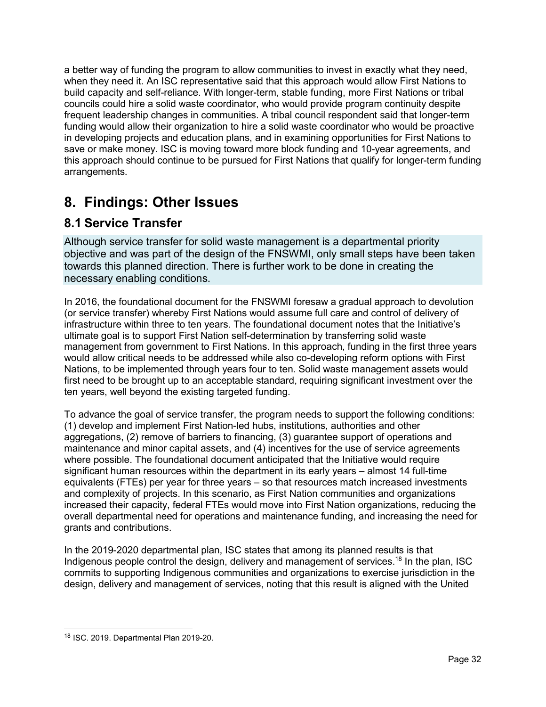a better way of funding the program to allow communities to invest in exactly what they need, when they need it. An ISC representative said that this approach would allow First Nations to build capacity and self-reliance. With longer-term, stable funding, more First Nations or tribal councils could hire a solid waste coordinator, who would provide program continuity despite frequent leadership changes in communities. A tribal council respondent said that longer-term funding would allow their organization to hire a solid waste coordinator who would be proactive in developing projects and education plans, and in examining opportunities for First Nations to save or make money. ISC is moving toward more block funding and 10-year agreements, and this approach should continue to be pursued for First Nations that qualify for longer-term funding arrangements.

# **8. Findings: Other Issues**

### **8.1 Service Transfer**

Although service transfer for solid waste management is a departmental priority objective and was part of the design of the FNSWMI, only small steps have been taken towards this planned direction. There is further work to be done in creating the necessary enabling conditions.

In 2016, the foundational document for the FNSWMI foresaw a gradual approach to devolution (or service transfer) whereby First Nations would assume full care and control of delivery of infrastructure within three to ten years. The foundational document notes that the Initiative's ultimate goal is to support First Nation self-determination by transferring solid waste management from government to First Nations. In this approach, funding in the first three years would allow critical needs to be addressed while also co-developing reform options with First Nations, to be implemented through years four to ten. Solid waste management assets would first need to be brought up to an acceptable standard, requiring significant investment over the ten years, well beyond the existing targeted funding.

To advance the goal of service transfer, the program needs to support the following conditions: (1) develop and implement First Nation-led hubs, institutions, authorities and other aggregations, (2) remove of barriers to financing, (3) guarantee support of operations and maintenance and minor capital assets, and (4) incentives for the use of service agreements where possible. The foundational document anticipated that the Initiative would require significant human resources within the department in its early years – almost 14 full-time equivalents (FTEs) per year for three years – so that resources match increased investments and complexity of projects. In this scenario, as First Nation communities and organizations increased their capacity, federal FTEs would move into First Nation organizations, reducing the overall departmental need for operations and maintenance funding, and increasing the need for grants and contributions.

In the 2019-2020 departmental plan, ISC states that among its planned results is that Indigenous people control the design, delivery and management of services.<sup>18</sup> In the plan, ISC commits to supporting Indigenous communities and organizations to exercise jurisdiction in the design, delivery and management of services, noting that this result is aligned with the United

 <sup>18</sup> ISC. 2019. Departmental Plan 2019-20.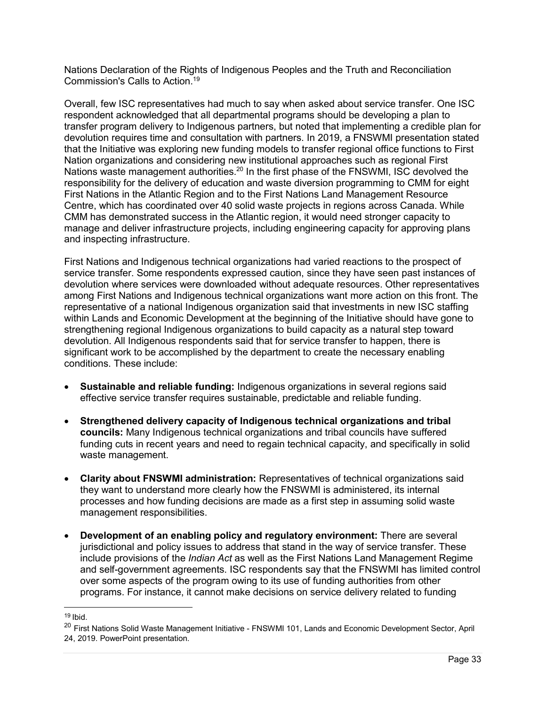Nations Declaration of the Rights of Indigenous Peoples and the Truth and Reconciliation Commission's Calls to Action.19

Overall, few ISC representatives had much to say when asked about service transfer. One ISC respondent acknowledged that all departmental programs should be developing a plan to transfer program delivery to Indigenous partners, but noted that implementing a credible plan for devolution requires time and consultation with partners. In 2019, a FNSWMI presentation stated that the Initiative was exploring new funding models to transfer regional office functions to First Nation organizations and considering new institutional approaches such as regional First Nations waste management authorities.<sup>20</sup> In the first phase of the FNSWMI, ISC devolved the responsibility for the delivery of education and waste diversion programming to CMM for eight First Nations in the Atlantic Region and to the First Nations Land Management Resource Centre, which has coordinated over 40 solid waste projects in regions across Canada. While CMM has demonstrated success in the Atlantic region, it would need stronger capacity to manage and deliver infrastructure projects, including engineering capacity for approving plans and inspecting infrastructure.

First Nations and Indigenous technical organizations had varied reactions to the prospect of service transfer. Some respondents expressed caution, since they have seen past instances of devolution where services were downloaded without adequate resources. Other representatives among First Nations and Indigenous technical organizations want more action on this front. The representative of a national Indigenous organization said that investments in new ISC staffing within Lands and Economic Development at the beginning of the Initiative should have gone to strengthening regional Indigenous organizations to build capacity as a natural step toward devolution. All Indigenous respondents said that for service transfer to happen, there is significant work to be accomplished by the department to create the necessary enabling conditions. These include:

- **Sustainable and reliable funding:** Indigenous organizations in several regions said effective service transfer requires sustainable, predictable and reliable funding.
- **Strengthened delivery capacity of Indigenous technical organizations and tribal councils:** Many Indigenous technical organizations and tribal councils have suffered funding cuts in recent years and need to regain technical capacity, and specifically in solid waste management.
- **Clarity about FNSWMI administration:** Representatives of technical organizations said they want to understand more clearly how the FNSWMI is administered, its internal processes and how funding decisions are made as a first step in assuming solid waste management responsibilities.
- **Development of an enabling policy and regulatory environment:** There are several jurisdictional and policy issues to address that stand in the way of service transfer. These include provisions of the *Indian Act* as well as the First Nations Land Management Regime and self-government agreements. ISC respondents say that the FNSWMI has limited control over some aspects of the program owing to its use of funding authorities from other programs. For instance, it cannot make decisions on service delivery related to funding

<sup>19</sup> Ibid.

<sup>&</sup>lt;sup>20</sup> First Nations Solid Waste Management Initiative - FNSWMI 101, Lands and Economic Development Sector, April 24, 2019. PowerPoint presentation.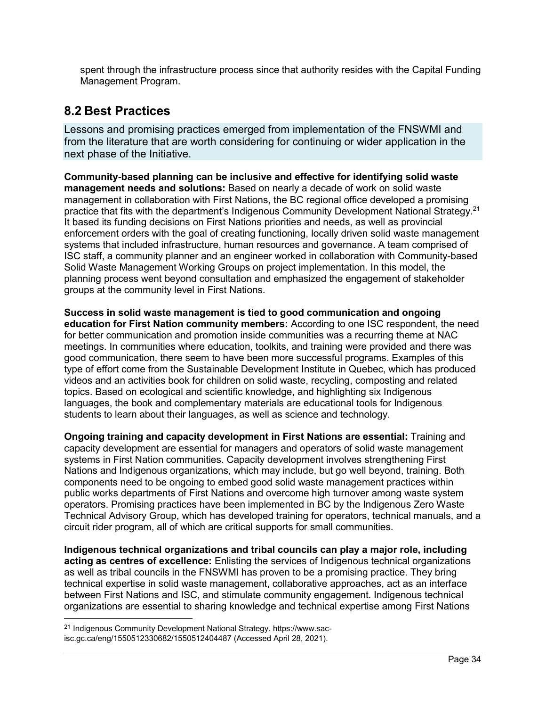spent through the infrastructure process since that authority resides with the Capital Funding Management Program.

### **8.2 Best Practices**

Lessons and promising practices emerged from implementation of the FNSWMI and from the literature that are worth considering for continuing or wider application in the next phase of the Initiative.

**Community-based planning can be inclusive and effective for identifying solid waste management needs and solutions:** Based on nearly a decade of work on solid waste management in collaboration with First Nations, the BC regional office developed a promising practice that fits with the department's Indigenous Community Development National Strategy.<sup>21</sup> It based its funding decisions on First Nations priorities and needs, as well as provincial enforcement orders with the goal of creating functioning, locally driven solid waste management systems that included infrastructure, human resources and governance. A team comprised of ISC staff, a community planner and an engineer worked in collaboration with Community-based Solid Waste Management Working Groups on project implementation. In this model, the planning process went beyond consultation and emphasized the engagement of stakeholder groups at the community level in First Nations.

**Success in solid waste management is tied to good communication and ongoing education for First Nation community members:** According to one ISC respondent, the need for better communication and promotion inside communities was a recurring theme at NAC meetings. In communities where education, toolkits, and training were provided and there was good communication, there seem to have been more successful programs. Examples of this type of effort come from the Sustainable Development Institute in Quebec, which has produced videos and an activities book for children on solid waste, recycling, composting and related topics. Based on ecological and scientific knowledge, and highlighting six Indigenous languages, the book and complementary materials are educational tools for Indigenous students to learn about their languages, as well as science and technology.

**Ongoing training and capacity development in First Nations are essential:** Training and capacity development are essential for managers and operators of solid waste management systems in First Nation communities. Capacity development involves strengthening First Nations and Indigenous organizations, which may include, but go well beyond, training. Both components need to be ongoing to embed good solid waste management practices within public works departments of First Nations and overcome high turnover among waste system operators. Promising practices have been implemented in BC by the Indigenous Zero Waste Technical Advisory Group, which has developed training for operators, technical manuals, and a circuit rider program, all of which are critical supports for small communities.

**Indigenous technical organizations and tribal councils can play a major role, including acting as centres of excellence:** Enlisting the services of Indigenous technical organizations as well as tribal councils in the FNSWMI has proven to be a promising practice. They bring technical expertise in solid waste management, collaborative approaches, act as an interface between First Nations and ISC, and stimulate community engagement. Indigenous technical organizations are essential to sharing knowledge and technical expertise among First Nations

 <sup>21</sup> Indigenous Community Development National Strategy. https://www.sacisc.gc.ca/eng/1550512330682/1550512404487 (Accessed April 28, 2021).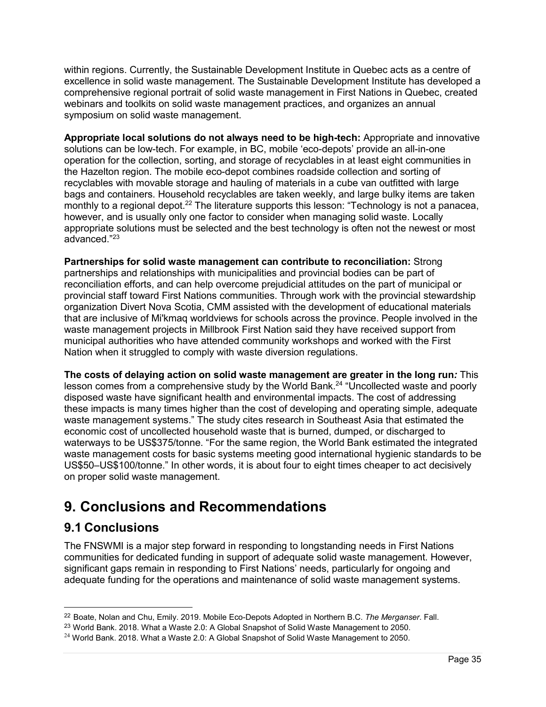within regions. Currently, the Sustainable Development Institute in Quebec acts as a centre of excellence in solid waste management. The Sustainable Development Institute has developed a comprehensive regional portrait of solid waste management in First Nations in Quebec, created webinars and toolkits on solid waste management practices, and organizes an annual symposium on solid waste management.

**Appropriate local solutions do not always need to be high-tech:** Appropriate and innovative solutions can be low-tech. For example, in BC, mobile 'eco-depots' provide an all-in-one operation for the collection, sorting, and storage of recyclables in at least eight communities in the Hazelton region. The mobile eco-depot combines roadside collection and sorting of recyclables with movable storage and hauling of materials in a cube van outfitted with large bags and containers. Household recyclables are taken weekly, and large bulky items are taken monthly to a regional depot.<sup>22</sup> The literature supports this lesson: "Technology is not a panacea, however, and is usually only one factor to consider when managing solid waste. Locally appropriate solutions must be selected and the best technology is often not the newest or most advanced." 23

**Partnerships for solid waste management can contribute to reconciliation:** Strong partnerships and relationships with municipalities and provincial bodies can be part of reconciliation efforts, and can help overcome prejudicial attitudes on the part of municipal or provincial staff toward First Nations communities. Through work with the provincial stewardship organization Divert Nova Scotia, CMM assisted with the development of educational materials that are inclusive of Mi'kmaq worldviews for schools across the province. People involved in the waste management projects in Millbrook First Nation said they have received support from municipal authorities who have attended community workshops and worked with the First Nation when it struggled to comply with waste diversion regulations.

**The costs of delaying action on solid waste management are greater in the long run***:* This lesson comes from a comprehensive study by the World Bank.<sup>24</sup> "Uncollected waste and poorly disposed waste have significant health and environmental impacts. The cost of addressing these impacts is many times higher than the cost of developing and operating simple, adequate waste management systems." The study cites research in Southeast Asia that estimated the economic cost of uncollected household waste that is burned, dumped, or discharged to waterways to be US\$375/tonne. "For the same region, the World Bank estimated the integrated waste management costs for basic systems meeting good international hygienic standards to be US\$50–US\$100/tonne." In other words, it is about four to eight times cheaper to act decisively on proper solid waste management.

# **9. Conclusions and Recommendations**

### **9.1 Conclusions**

The FNSWMI is a major step forward in responding to longstanding needs in First Nations communities for dedicated funding in support of adequate solid waste management. However, significant gaps remain in responding to First Nations' needs, particularly for ongoing and adequate funding for the operations and maintenance of solid waste management systems.

 <sup>22</sup> Boate, Nolan and Chu, Emily. 2019. Mobile Eco-Depots Adopted in Northern B.C. *The Merganser*. Fall.

<sup>&</sup>lt;sup>23</sup> World Bank. 2018. What a Waste 2.0: A Global Snapshot of Solid Waste Management to 2050.

 $24$  World Bank. 2018. What a Waste 2.0: A Global Snapshot of Solid Waste Management to 2050.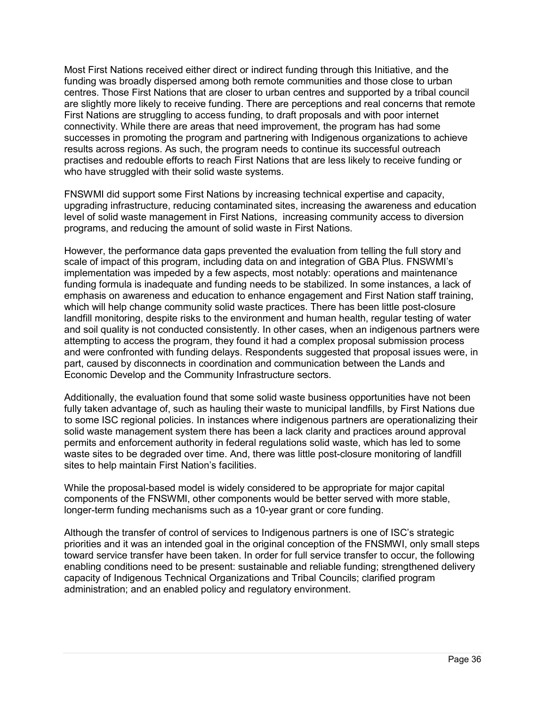Most First Nations received either direct or indirect funding through this Initiative, and the funding was broadly dispersed among both remote communities and those close to urban centres. Those First Nations that are closer to urban centres and supported by a tribal council are slightly more likely to receive funding. There are perceptions and real concerns that remote First Nations are struggling to access funding, to draft proposals and with poor internet connectivity. While there are areas that need improvement, the program has had some successes in promoting the program and partnering with Indigenous organizations to achieve results across regions. As such, the program needs to continue its successful outreach practises and redouble efforts to reach First Nations that are less likely to receive funding or who have struggled with their solid waste systems.

FNSWMI did support some First Nations by increasing technical expertise and capacity, upgrading infrastructure, reducing contaminated sites, increasing the awareness and education level of solid waste management in First Nations, increasing community access to diversion programs, and reducing the amount of solid waste in First Nations.

However, the performance data gaps prevented the evaluation from telling the full story and scale of impact of this program, including data on and integration of GBA Plus. FNSWMI's implementation was impeded by a few aspects, most notably: operations and maintenance funding formula is inadequate and funding needs to be stabilized. In some instances, a lack of emphasis on awareness and education to enhance engagement and First Nation staff training, which will help change community solid waste practices. There has been little post-closure landfill monitoring, despite risks to the environment and human health, regular testing of water and soil quality is not conducted consistently. In other cases, when an indigenous partners were attempting to access the program, they found it had a complex proposal submission process and were confronted with funding delays. Respondents suggested that proposal issues were, in part, caused by disconnects in coordination and communication between the Lands and Economic Develop and the Community Infrastructure sectors.

Additionally, the evaluation found that some solid waste business opportunities have not been fully taken advantage of, such as hauling their waste to municipal landfills, by First Nations due to some ISC regional policies. In instances where indigenous partners are operationalizing their solid waste management system there has been a lack clarity and practices around approval permits and enforcement authority in federal regulations solid waste, which has led to some waste sites to be degraded over time. And, there was little post-closure monitoring of landfill sites to help maintain First Nation's facilities.

While the proposal-based model is widely considered to be appropriate for major capital components of the FNSWMI, other components would be better served with more stable, longer-term funding mechanisms such as a 10-year grant or core funding.

Although the transfer of control of services to Indigenous partners is one of ISC's strategic priorities and it was an intended goal in the original conception of the FNSMWI, only small steps toward service transfer have been taken. In order for full service transfer to occur, the following enabling conditions need to be present: sustainable and reliable funding; strengthened delivery capacity of Indigenous Technical Organizations and Tribal Councils; clarified program administration; and an enabled policy and regulatory environment.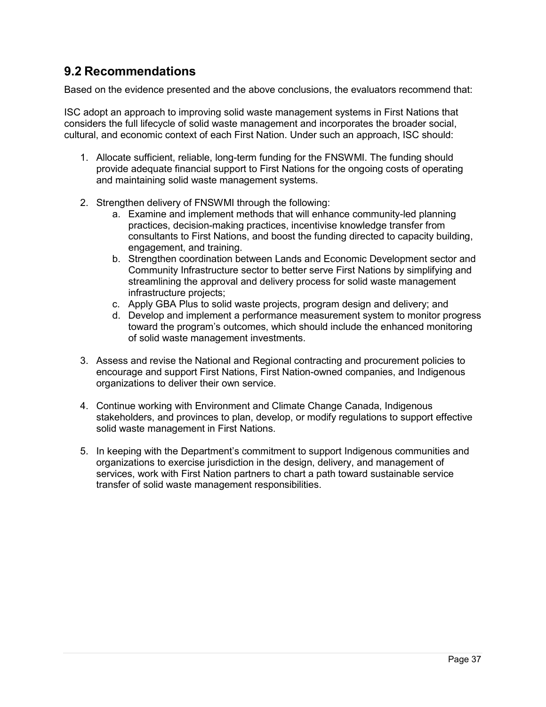### **9.2 Recommendations**

Based on the evidence presented and the above conclusions, the evaluators recommend that:

ISC adopt an approach to improving solid waste management systems in First Nations that considers the full lifecycle of solid waste management and incorporates the broader social, cultural, and economic context of each First Nation. Under such an approach, ISC should:

- 1. Allocate sufficient, reliable, long-term funding for the FNSWMI. The funding should provide adequate financial support to First Nations for the ongoing costs of operating and maintaining solid waste management systems.
- 2. Strengthen delivery of FNSWMI through the following:
	- a. Examine and implement methods that will enhance community-led planning practices, decision-making practices, incentivise knowledge transfer from consultants to First Nations, and boost the funding directed to capacity building, engagement, and training.
	- b. Strengthen coordination between Lands and Economic Development sector and Community Infrastructure sector to better serve First Nations by simplifying and streamlining the approval and delivery process for solid waste management infrastructure projects;
	- c. Apply GBA Plus to solid waste projects, program design and delivery; and
	- d. Develop and implement a performance measurement system to monitor progress toward the program's outcomes, which should include the enhanced monitoring of solid waste management investments.
- 3. Assess and revise the National and Regional contracting and procurement policies to encourage and support First Nations, First Nation-owned companies, and Indigenous organizations to deliver their own service.
- 4. Continue working with Environment and Climate Change Canada, Indigenous stakeholders, and provinces to plan, develop, or modify regulations to support effective solid waste management in First Nations.
- 5. In keeping with the Department's commitment to support Indigenous communities and organizations to exercise jurisdiction in the design, delivery, and management of services, work with First Nation partners to chart a path toward sustainable service transfer of solid waste management responsibilities.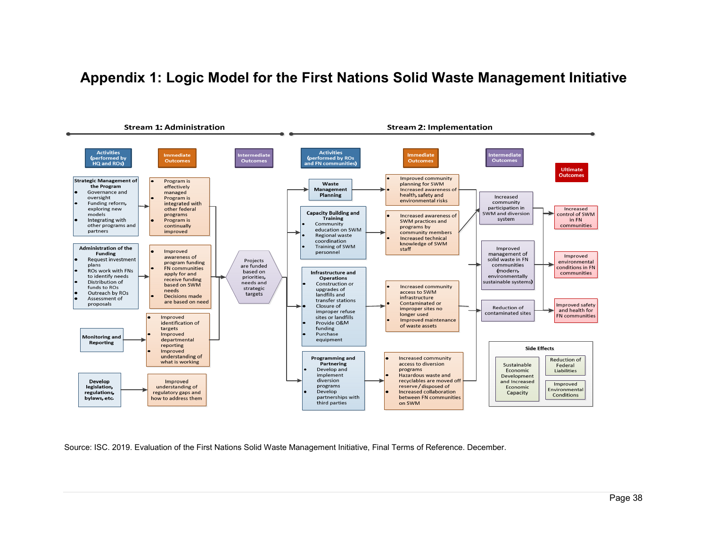### **Appendix 1: Logic Model for the First Nations Solid Waste Management Initiative**



Source: ISC. 2019. Evaluation of the First Nations Solid Waste Management Initiative, Final Terms of Reference. December.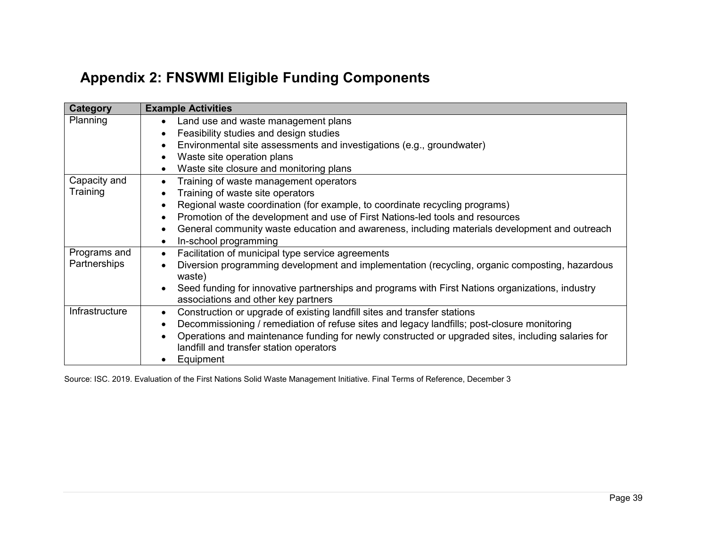# **Appendix 2: FNSWMI Eligible Funding Components**

| <b>Category</b> | <b>Example Activities</b>                                                                                                               |
|-----------------|-----------------------------------------------------------------------------------------------------------------------------------------|
| Planning        | Land use and waste management plans<br>$\bullet$                                                                                        |
|                 | Feasibility studies and design studies                                                                                                  |
|                 | Environmental site assessments and investigations (e.g., groundwater)<br>$\bullet$                                                      |
|                 | Waste site operation plans<br>$\bullet$                                                                                                 |
|                 | Waste site closure and monitoring plans                                                                                                 |
| Capacity and    | Training of waste management operators<br>$\bullet$                                                                                     |
| Training        | Training of waste site operators                                                                                                        |
|                 | Regional waste coordination (for example, to coordinate recycling programs)                                                             |
|                 | Promotion of the development and use of First Nations-led tools and resources                                                           |
|                 | General community waste education and awareness, including materials development and outreach<br>$\bullet$                              |
|                 | In-school programming                                                                                                                   |
| Programs and    | Facilitation of municipal type service agreements<br>٠                                                                                  |
| Partnerships    | Diversion programming development and implementation (recycling, organic composting, hazardous<br>waste)                                |
|                 | Seed funding for innovative partnerships and programs with First Nations organizations, industry<br>associations and other key partners |
| Infrastructure  | Construction or upgrade of existing landfill sites and transfer stations<br>٠                                                           |
|                 | Decommissioning / remediation of refuse sites and legacy landfills; post-closure monitoring<br>$\bullet$                                |
|                 | Operations and maintenance funding for newly constructed or upgraded sites, including salaries for                                      |
|                 | landfill and transfer station operators                                                                                                 |
|                 | Equipment                                                                                                                               |

Source: ISC. 2019. Evaluation of the First Nations Solid Waste Management Initiative. Final Terms of Reference, December 3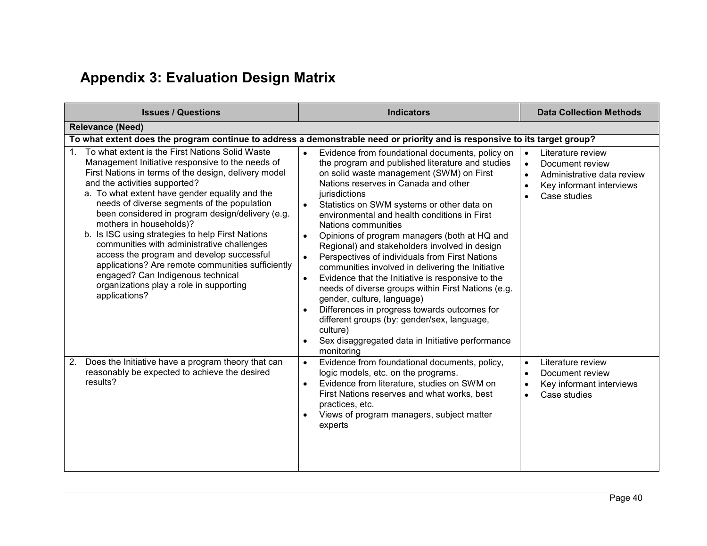# **Appendix 3: Evaluation Design Matrix**

| <b>Issues / Questions</b>                                                                                                                                                                                                                                                                                                                                                                                                                                                                                                                                                                                                                                                         | <b>Indicators</b>                                                                                                                                                                                                                                                                                                                                                                                                                                                                                                                                                                                                                                                                                                                                                                                                                                                                                                            | <b>Data Collection Methods</b>                                                                                                                        |  |  |
|-----------------------------------------------------------------------------------------------------------------------------------------------------------------------------------------------------------------------------------------------------------------------------------------------------------------------------------------------------------------------------------------------------------------------------------------------------------------------------------------------------------------------------------------------------------------------------------------------------------------------------------------------------------------------------------|------------------------------------------------------------------------------------------------------------------------------------------------------------------------------------------------------------------------------------------------------------------------------------------------------------------------------------------------------------------------------------------------------------------------------------------------------------------------------------------------------------------------------------------------------------------------------------------------------------------------------------------------------------------------------------------------------------------------------------------------------------------------------------------------------------------------------------------------------------------------------------------------------------------------------|-------------------------------------------------------------------------------------------------------------------------------------------------------|--|--|
| <b>Relevance (Need)</b>                                                                                                                                                                                                                                                                                                                                                                                                                                                                                                                                                                                                                                                           |                                                                                                                                                                                                                                                                                                                                                                                                                                                                                                                                                                                                                                                                                                                                                                                                                                                                                                                              |                                                                                                                                                       |  |  |
| To what extent does the program continue to address a demonstrable need or priority and is responsive to its target group?                                                                                                                                                                                                                                                                                                                                                                                                                                                                                                                                                        |                                                                                                                                                                                                                                                                                                                                                                                                                                                                                                                                                                                                                                                                                                                                                                                                                                                                                                                              |                                                                                                                                                       |  |  |
| To what extent is the First Nations Solid Waste<br>Management Initiative responsive to the needs of<br>First Nations in terms of the design, delivery model<br>and the activities supported?<br>a. To what extent have gender equality and the<br>needs of diverse segments of the population<br>been considered in program design/delivery (e.g.<br>mothers in households)?<br>b. Is ISC using strategies to help First Nations<br>communities with administrative challenges<br>access the program and develop successful<br>applications? Are remote communities sufficiently<br>engaged? Can Indigenous technical<br>organizations play a role in supporting<br>applications? | Evidence from foundational documents, policy on<br>$\bullet$<br>the program and published literature and studies<br>on solid waste management (SWM) on First<br>Nations reserves in Canada and other<br>jurisdictions<br>Statistics on SWM systems or other data on<br>environmental and health conditions in First<br>Nations communities<br>Opinions of program managers (both at HQ and<br>$\bullet$<br>Regional) and stakeholders involved in design<br>Perspectives of individuals from First Nations<br>$\bullet$<br>communities involved in delivering the Initiative<br>Evidence that the Initiative is responsive to the<br>$\bullet$<br>needs of diverse groups within First Nations (e.g.<br>gender, culture, language)<br>Differences in progress towards outcomes for<br>$\bullet$<br>different groups (by: gender/sex, language,<br>culture)<br>Sex disaggregated data in Initiative performance<br>monitoring | Literature review<br>$\bullet$<br>Document review<br>$\bullet$<br>Administrative data review<br>$\bullet$<br>Key informant interviews<br>Case studies |  |  |
| Does the Initiative have a program theory that can<br>2.<br>reasonably be expected to achieve the desired<br>results?                                                                                                                                                                                                                                                                                                                                                                                                                                                                                                                                                             | Evidence from foundational documents, policy,<br>$\bullet$<br>logic models, etc. on the programs.<br>Evidence from literature, studies on SWM on<br>$\bullet$<br>First Nations reserves and what works, best<br>practices, etc.<br>Views of program managers, subject matter<br>experts                                                                                                                                                                                                                                                                                                                                                                                                                                                                                                                                                                                                                                      | Literature review<br>$\bullet$<br>Document review<br>Key informant interviews<br>Case studies                                                         |  |  |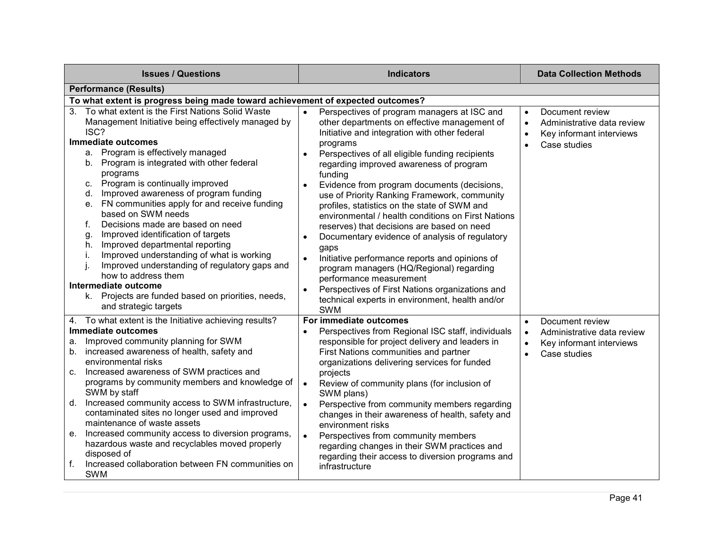| <b>Issues / Questions</b>                                                                                                                                                                                                                                                                                                                                                                                                                                                                                                                                                                                                                                                                                                                                                             | <b>Indicators</b>                                                                                                                                                                                                                                                                                                                                                                                                                                                                                                                                                                                                                                                                                                                                                                                                                                                               | <b>Data Collection Methods</b>                                                                                                                |  |  |
|---------------------------------------------------------------------------------------------------------------------------------------------------------------------------------------------------------------------------------------------------------------------------------------------------------------------------------------------------------------------------------------------------------------------------------------------------------------------------------------------------------------------------------------------------------------------------------------------------------------------------------------------------------------------------------------------------------------------------------------------------------------------------------------|---------------------------------------------------------------------------------------------------------------------------------------------------------------------------------------------------------------------------------------------------------------------------------------------------------------------------------------------------------------------------------------------------------------------------------------------------------------------------------------------------------------------------------------------------------------------------------------------------------------------------------------------------------------------------------------------------------------------------------------------------------------------------------------------------------------------------------------------------------------------------------|-----------------------------------------------------------------------------------------------------------------------------------------------|--|--|
| <b>Performance (Results)</b>                                                                                                                                                                                                                                                                                                                                                                                                                                                                                                                                                                                                                                                                                                                                                          |                                                                                                                                                                                                                                                                                                                                                                                                                                                                                                                                                                                                                                                                                                                                                                                                                                                                                 |                                                                                                                                               |  |  |
| To what extent is progress being made toward achievement of expected outcomes?                                                                                                                                                                                                                                                                                                                                                                                                                                                                                                                                                                                                                                                                                                        |                                                                                                                                                                                                                                                                                                                                                                                                                                                                                                                                                                                                                                                                                                                                                                                                                                                                                 |                                                                                                                                               |  |  |
| To what extent is the First Nations Solid Waste<br>3.<br>Management Initiative being effectively managed by<br>ISC?<br><b>Immediate outcomes</b><br>Program is effectively managed<br>а.<br>b. Program is integrated with other federal<br>programs<br>c. Program is continually improved<br>Improved awareness of program funding<br>d.<br>FN communities apply for and receive funding<br>е.<br>based on SWM needs<br>Decisions made are based on need<br>f.<br>Improved identification of targets<br>g.<br>Improved departmental reporting<br>h.<br>Improved understanding of what is working<br>Τ.<br>Improved understanding of regulatory gaps and<br>how to address them<br>Intermediate outcome<br>k. Projects are funded based on priorities, needs,<br>and strategic targets | Perspectives of program managers at ISC and<br>$\bullet$<br>other departments on effective management of<br>Initiative and integration with other federal<br>programs<br>Perspectives of all eligible funding recipients<br>$\bullet$<br>regarding improved awareness of program<br>funding<br>Evidence from program documents (decisions,<br>use of Priority Ranking Framework, community<br>profiles, statistics on the state of SWM and<br>environmental / health conditions on First Nations<br>reserves) that decisions are based on need<br>Documentary evidence of analysis of regulatory<br>gaps<br>Initiative performance reports and opinions of<br>$\bullet$<br>program managers (HQ/Regional) regarding<br>performance measurement<br>Perspectives of First Nations organizations and<br>$\bullet$<br>technical experts in environment, health and/or<br><b>SWM</b> | Document review<br>$\bullet$<br>Administrative data review<br>$\bullet$<br>Key informant interviews<br>$\bullet$<br>Case studies<br>$\bullet$ |  |  |
| 4. To what extent is the Initiative achieving results?<br><b>Immediate outcomes</b><br>Improved community planning for SWM<br>a.<br>b. increased awareness of health, safety and<br>environmental risks<br>Increased awareness of SWM practices and<br>C.<br>programs by community members and knowledge of<br>SWM by staff<br>Increased community access to SWM infrastructure,<br>d.<br>contaminated sites no longer used and improved<br>maintenance of waste assets<br>Increased community access to diversion programs,<br>е.<br>hazardous waste and recyclables moved properly<br>disposed of<br>Increased collaboration between FN communities on<br>f.<br><b>SWM</b>                                                                                                          | For immediate outcomes<br>Perspectives from Regional ISC staff, individuals<br>responsible for project delivery and leaders in<br>First Nations communities and partner<br>organizations delivering services for funded<br>projects<br>Review of community plans (for inclusion of<br>$\bullet$<br>SWM plans)<br>Perspective from community members regarding<br>$\bullet$<br>changes in their awareness of health, safety and<br>environment risks<br>$\bullet$<br>Perspectives from community members<br>regarding changes in their SWM practices and<br>regarding their access to diversion programs and<br>infrastructure                                                                                                                                                                                                                                                   | Document review<br>$\bullet$<br>Administrative data review<br>$\bullet$<br>Key informant interviews<br>$\bullet$<br>Case studies              |  |  |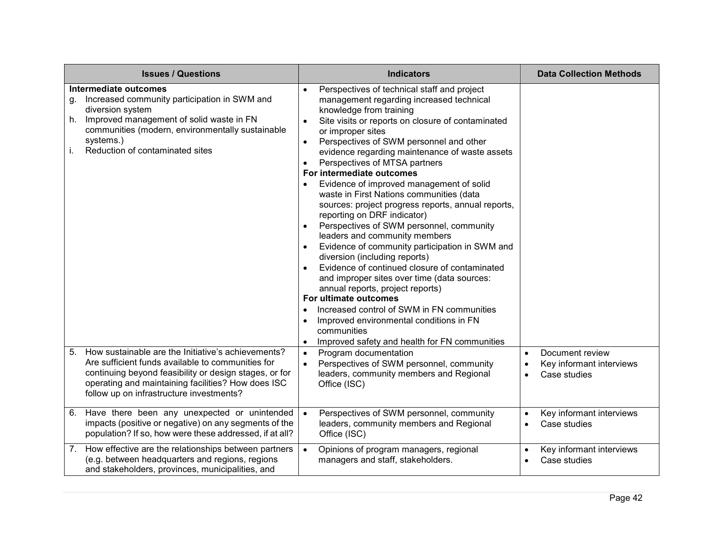| <b>Issues / Questions</b>                                                                                                                                                                                                                                                                                               | <b>Indicators</b>                                                                                                                                                                                                                                                                                                                                                                                                                                                                                                                                                                                                                                                                                                                                                                                                                                                                                                                                                                                                                                                                                                                                                        | <b>Data Collection Methods</b>                        |
|-------------------------------------------------------------------------------------------------------------------------------------------------------------------------------------------------------------------------------------------------------------------------------------------------------------------------|--------------------------------------------------------------------------------------------------------------------------------------------------------------------------------------------------------------------------------------------------------------------------------------------------------------------------------------------------------------------------------------------------------------------------------------------------------------------------------------------------------------------------------------------------------------------------------------------------------------------------------------------------------------------------------------------------------------------------------------------------------------------------------------------------------------------------------------------------------------------------------------------------------------------------------------------------------------------------------------------------------------------------------------------------------------------------------------------------------------------------------------------------------------------------|-------------------------------------------------------|
| Intermediate outcomes<br>Increased community participation in SWM and<br>g.<br>diversion system<br>Improved management of solid waste in FN<br>h.<br>communities (modern, environmentally sustainable<br>systems.)<br>Reduction of contaminated sites<br>i.<br>How sustainable are the Initiative's achievements?<br>5. | Perspectives of technical staff and project<br>$\bullet$<br>management regarding increased technical<br>knowledge from training<br>Site visits or reports on closure of contaminated<br>$\bullet$<br>or improper sites<br>Perspectives of SWM personnel and other<br>$\bullet$<br>evidence regarding maintenance of waste assets<br>Perspectives of MTSA partners<br>$\bullet$<br>For intermediate outcomes<br>Evidence of improved management of solid<br>waste in First Nations communities (data<br>sources: project progress reports, annual reports,<br>reporting on DRF indicator)<br>Perspectives of SWM personnel, community<br>$\bullet$<br>leaders and community members<br>Evidence of community participation in SWM and<br>diversion (including reports)<br>Evidence of continued closure of contaminated<br>and improper sites over time (data sources:<br>annual reports, project reports)<br>For ultimate outcomes<br>Increased control of SWM in FN communities<br>$\bullet$<br>Improved environmental conditions in FN<br>$\bullet$<br>communities<br>Improved safety and health for FN communities<br>$\bullet$<br>Program documentation<br>$\bullet$ | Document review<br>$\bullet$                          |
| Are sufficient funds available to communities for<br>continuing beyond feasibility or design stages, or for<br>operating and maintaining facilities? How does ISC<br>follow up on infrastructure investments?                                                                                                           | Perspectives of SWM personnel, community<br>$\bullet$<br>leaders, community members and Regional<br>Office (ISC)                                                                                                                                                                                                                                                                                                                                                                                                                                                                                                                                                                                                                                                                                                                                                                                                                                                                                                                                                                                                                                                         | Key informant interviews<br>$\bullet$<br>Case studies |
| Have there been any unexpected or unintended<br>6.<br>impacts (positive or negative) on any segments of the<br>population? If so, how were these addressed, if at all?                                                                                                                                                  | Perspectives of SWM personnel, community<br>$\bullet$<br>leaders, community members and Regional<br>Office (ISC)                                                                                                                                                                                                                                                                                                                                                                                                                                                                                                                                                                                                                                                                                                                                                                                                                                                                                                                                                                                                                                                         | Key informant interviews<br>$\bullet$<br>Case studies |
| How effective are the relationships between partners<br>7.<br>(e.g. between headquarters and regions, regions<br>and stakeholders, provinces, municipalities, and                                                                                                                                                       | Opinions of program managers, regional<br>$\bullet$<br>managers and staff, stakeholders.                                                                                                                                                                                                                                                                                                                                                                                                                                                                                                                                                                                                                                                                                                                                                                                                                                                                                                                                                                                                                                                                                 | Key informant interviews<br>$\bullet$<br>Case studies |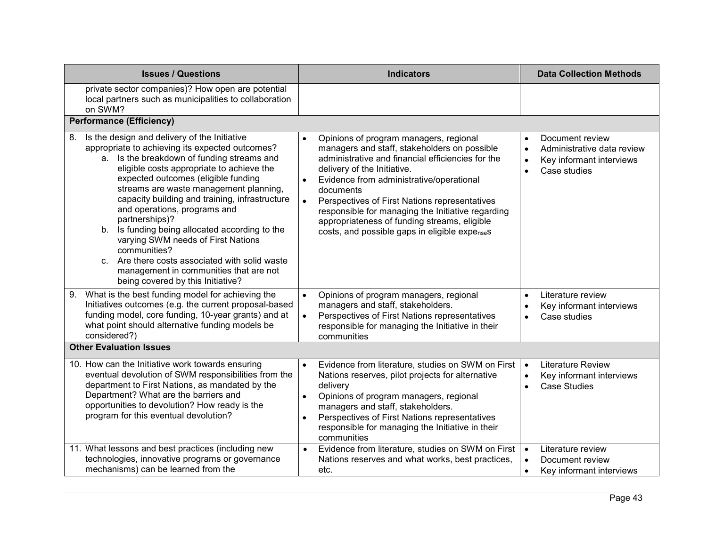| <b>Issues / Questions</b>                                                                                                                                                                                                                                                                                                                                                                                                                                                                                                                                                                                                      | <b>Indicators</b>                                                                                                                                                                                                                                                                                                                                                                                                                                                                 | <b>Data Collection Methods</b>                                                                                                                |
|--------------------------------------------------------------------------------------------------------------------------------------------------------------------------------------------------------------------------------------------------------------------------------------------------------------------------------------------------------------------------------------------------------------------------------------------------------------------------------------------------------------------------------------------------------------------------------------------------------------------------------|-----------------------------------------------------------------------------------------------------------------------------------------------------------------------------------------------------------------------------------------------------------------------------------------------------------------------------------------------------------------------------------------------------------------------------------------------------------------------------------|-----------------------------------------------------------------------------------------------------------------------------------------------|
| private sector companies)? How open are potential<br>local partners such as municipalities to collaboration<br>on SWM?                                                                                                                                                                                                                                                                                                                                                                                                                                                                                                         |                                                                                                                                                                                                                                                                                                                                                                                                                                                                                   |                                                                                                                                               |
| <b>Performance (Efficiency)</b>                                                                                                                                                                                                                                                                                                                                                                                                                                                                                                                                                                                                |                                                                                                                                                                                                                                                                                                                                                                                                                                                                                   |                                                                                                                                               |
| Is the design and delivery of the Initiative<br>8.<br>appropriate to achieving its expected outcomes?<br>a. Is the breakdown of funding streams and<br>eligible costs appropriate to achieve the<br>expected outcomes (eligible funding<br>streams are waste management planning,<br>capacity building and training, infrastructure<br>and operations, programs and<br>partnerships)?<br>b. Is funding being allocated according to the<br>varying SWM needs of First Nations<br>communities?<br>c. Are there costs associated with solid waste<br>management in communities that are not<br>being covered by this Initiative? | Opinions of program managers, regional<br>$\bullet$<br>managers and staff, stakeholders on possible<br>administrative and financial efficiencies for the<br>delivery of the Initiative.<br>Evidence from administrative/operational<br>$\bullet$<br>documents<br>Perspectives of First Nations representatives<br>$\bullet$<br>responsible for managing the Initiative regarding<br>appropriateness of funding streams, eligible<br>costs, and possible gaps in eligible expenses | Document review<br>$\bullet$<br>Administrative data review<br>$\bullet$<br>Key informant interviews<br>$\bullet$<br>Case studies<br>$\bullet$ |
| What is the best funding model for achieving the<br>9.<br>Initiatives outcomes (e.g. the current proposal-based<br>funding model, core funding, 10-year grants) and at<br>what point should alternative funding models be<br>considered?)                                                                                                                                                                                                                                                                                                                                                                                      | Opinions of program managers, regional<br>$\bullet$<br>managers and staff, stakeholders.<br>Perspectives of First Nations representatives<br>responsible for managing the Initiative in their<br>communities                                                                                                                                                                                                                                                                      | Literature review<br>$\bullet$<br>Key informant interviews<br>Case studies<br>$\bullet$                                                       |
| <b>Other Evaluation Issues</b>                                                                                                                                                                                                                                                                                                                                                                                                                                                                                                                                                                                                 |                                                                                                                                                                                                                                                                                                                                                                                                                                                                                   |                                                                                                                                               |
| 10. How can the Initiative work towards ensuring<br>eventual devolution of SWM responsibilities from the<br>department to First Nations, as mandated by the<br>Department? What are the barriers and<br>opportunities to devolution? How ready is the<br>program for this eventual devolution?                                                                                                                                                                                                                                                                                                                                 | Evidence from literature, studies on SWM on First<br>$\bullet$<br>Nations reserves, pilot projects for alternative<br>delivery<br>Opinions of program managers, regional<br>$\bullet$<br>managers and staff, stakeholders.<br>Perspectives of First Nations representatives<br>responsible for managing the Initiative in their<br>communities                                                                                                                                    | <b>Literature Review</b><br>$\bullet$<br>Key informant interviews<br>$\bullet$<br><b>Case Studies</b><br>$\bullet$                            |
| 11. What lessons and best practices (including new<br>technologies, innovative programs or governance<br>mechanisms) can be learned from the                                                                                                                                                                                                                                                                                                                                                                                                                                                                                   | Evidence from literature, studies on SWM on First<br>Nations reserves and what works, best practices,<br>etc.                                                                                                                                                                                                                                                                                                                                                                     | Literature review<br>$\bullet$<br>Document review<br>$\bullet$<br>Key informant interviews<br>$\bullet$                                       |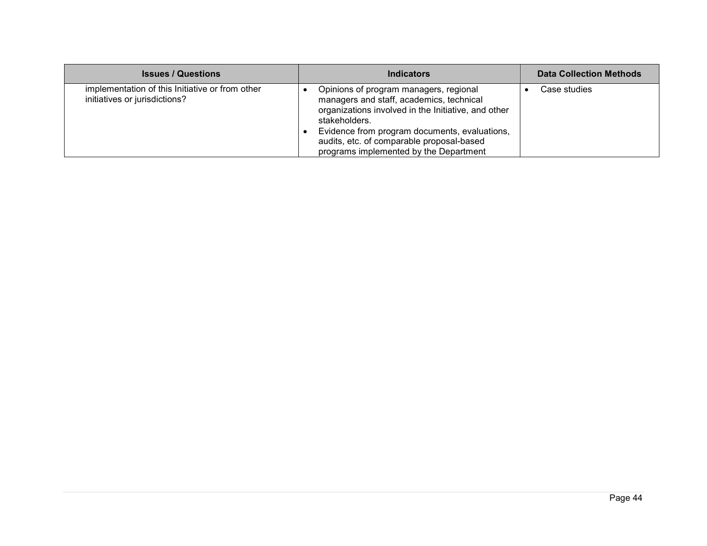| <b>Issues / Questions</b>                                                        | <b>Indicators</b>                                                                                                                                                                                                                                                                                  | <b>Data Collection Methods</b> |
|----------------------------------------------------------------------------------|----------------------------------------------------------------------------------------------------------------------------------------------------------------------------------------------------------------------------------------------------------------------------------------------------|--------------------------------|
| implementation of this Initiative or from other<br>initiatives or jurisdictions? | Opinions of program managers, regional<br>managers and staff, academics, technical<br>organizations involved in the Initiative, and other<br>stakeholders.<br>Evidence from program documents, evaluations,<br>audits, etc. of comparable proposal-based<br>programs implemented by the Department | Case studies                   |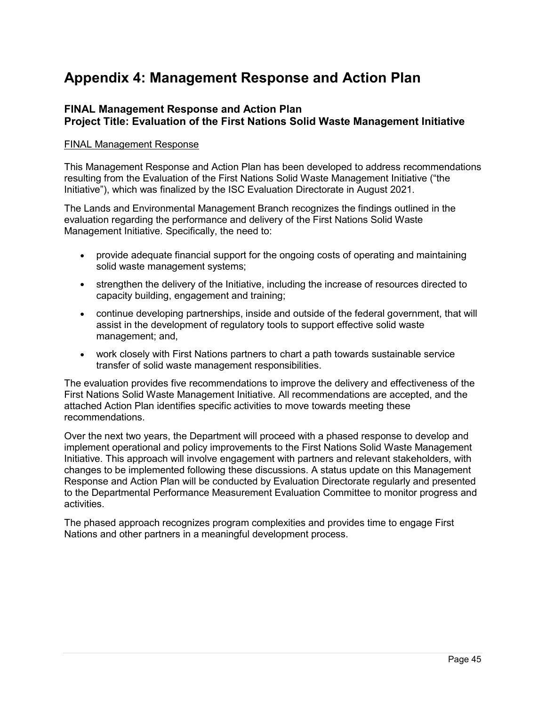# **Appendix 4: Management Response and Action Plan**

#### **FINAL Management Response and Action Plan Project Title: Evaluation of the First Nations Solid Waste Management Initiative**

#### FINAL Management Response

This Management Response and Action Plan has been developed to address recommendations resulting from the Evaluation of the First Nations Solid Waste Management Initiative ("the Initiative"), which was finalized by the ISC Evaluation Directorate in August 2021.

The Lands and Environmental Management Branch recognizes the findings outlined in the evaluation regarding the performance and delivery of the First Nations Solid Waste Management Initiative. Specifically, the need to:

- provide adequate financial support for the ongoing costs of operating and maintaining solid waste management systems;
- strengthen the delivery of the Initiative, including the increase of resources directed to capacity building, engagement and training;
- continue developing partnerships, inside and outside of the federal government, that will assist in the development of regulatory tools to support effective solid waste management; and,
- work closely with First Nations partners to chart a path towards sustainable service transfer of solid waste management responsibilities.

The evaluation provides five recommendations to improve the delivery and effectiveness of the First Nations Solid Waste Management Initiative. All recommendations are accepted, and the attached Action Plan identifies specific activities to move towards meeting these recommendations.

Over the next two years, the Department will proceed with a phased response to develop and implement operational and policy improvements to the First Nations Solid Waste Management Initiative. This approach will involve engagement with partners and relevant stakeholders, with changes to be implemented following these discussions. A status update on this Management Response and Action Plan will be conducted by Evaluation Directorate regularly and presented to the Departmental Performance Measurement Evaluation Committee to monitor progress and activities.

The phased approach recognizes program complexities and provides time to engage First Nations and other partners in a meaningful development process.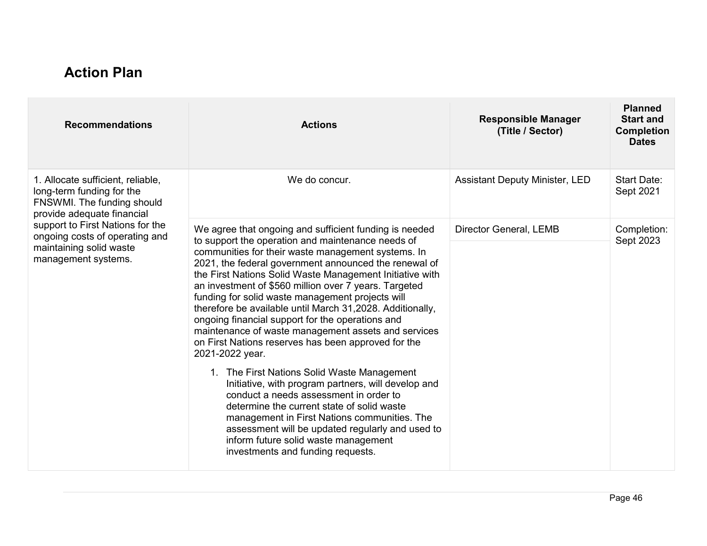# **Action Plan**

| <b>Recommendations</b>                                                                                                     | <b>Actions</b>                                                                                                                                                                                                                                                                                                                                                                                                                                                                                                                                                                                                                                                                                                                                                                                                                                                                                                                                                                                                                       | <b>Responsible Manager</b><br>(Title / Sector) | <b>Planned</b><br><b>Start and</b><br><b>Completion</b><br><b>Dates</b> |
|----------------------------------------------------------------------------------------------------------------------------|--------------------------------------------------------------------------------------------------------------------------------------------------------------------------------------------------------------------------------------------------------------------------------------------------------------------------------------------------------------------------------------------------------------------------------------------------------------------------------------------------------------------------------------------------------------------------------------------------------------------------------------------------------------------------------------------------------------------------------------------------------------------------------------------------------------------------------------------------------------------------------------------------------------------------------------------------------------------------------------------------------------------------------------|------------------------------------------------|-------------------------------------------------------------------------|
| 1. Allocate sufficient, reliable,<br>long-term funding for the<br>FNSWMI. The funding should<br>provide adequate financial | We do concur.                                                                                                                                                                                                                                                                                                                                                                                                                                                                                                                                                                                                                                                                                                                                                                                                                                                                                                                                                                                                                        | <b>Assistant Deputy Minister, LED</b>          | <b>Start Date:</b><br>Sept 2021                                         |
| support to First Nations for the<br>ongoing costs of operating and<br>maintaining solid waste<br>management systems.       | We agree that ongoing and sufficient funding is needed<br>to support the operation and maintenance needs of<br>communities for their waste management systems. In<br>2021, the federal government announced the renewal of<br>the First Nations Solid Waste Management Initiative with<br>an investment of \$560 million over 7 years. Targeted<br>funding for solid waste management projects will<br>therefore be available until March 31,2028. Additionally,<br>ongoing financial support for the operations and<br>maintenance of waste management assets and services<br>on First Nations reserves has been approved for the<br>2021-2022 year.<br>1. The First Nations Solid Waste Management<br>Initiative, with program partners, will develop and<br>conduct a needs assessment in order to<br>determine the current state of solid waste<br>management in First Nations communities. The<br>assessment will be updated regularly and used to<br>inform future solid waste management<br>investments and funding requests. | <b>Director General, LEMB</b>                  | Completion:<br>Sept 2023                                                |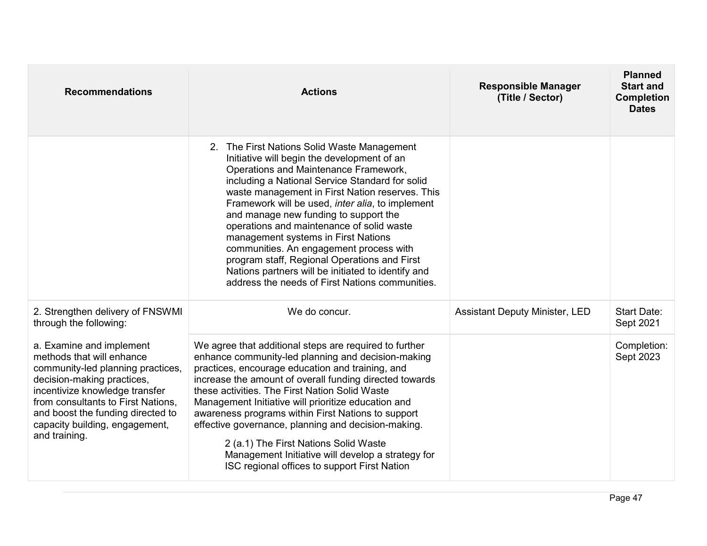| <b>Recommendations</b>                                                                                                                                                                                                                                                                   | <b>Actions</b>                                                                                                                                                                                                                                                                                                                                                                                                                                                                                                                                                                                                                         | <b>Responsible Manager</b><br>(Title / Sector) | <b>Planned</b><br><b>Start and</b><br><b>Completion</b><br><b>Dates</b> |
|------------------------------------------------------------------------------------------------------------------------------------------------------------------------------------------------------------------------------------------------------------------------------------------|----------------------------------------------------------------------------------------------------------------------------------------------------------------------------------------------------------------------------------------------------------------------------------------------------------------------------------------------------------------------------------------------------------------------------------------------------------------------------------------------------------------------------------------------------------------------------------------------------------------------------------------|------------------------------------------------|-------------------------------------------------------------------------|
|                                                                                                                                                                                                                                                                                          | 2. The First Nations Solid Waste Management<br>Initiative will begin the development of an<br>Operations and Maintenance Framework,<br>including a National Service Standard for solid<br>waste management in First Nation reserves. This<br>Framework will be used, <i>inter alia</i> , to implement<br>and manage new funding to support the<br>operations and maintenance of solid waste<br>management systems in First Nations<br>communities. An engagement process with<br>program staff, Regional Operations and First<br>Nations partners will be initiated to identify and<br>address the needs of First Nations communities. |                                                |                                                                         |
| 2. Strengthen delivery of FNSWMI<br>through the following:                                                                                                                                                                                                                               | We do concur.                                                                                                                                                                                                                                                                                                                                                                                                                                                                                                                                                                                                                          | <b>Assistant Deputy Minister, LED</b>          | <b>Start Date:</b><br>Sept 2021                                         |
| a. Examine and implement<br>methods that will enhance<br>community-led planning practices,<br>decision-making practices,<br>incentivize knowledge transfer<br>from consultants to First Nations,<br>and boost the funding directed to<br>capacity building, engagement,<br>and training. | We agree that additional steps are required to further<br>enhance community-led planning and decision-making<br>practices, encourage education and training, and<br>increase the amount of overall funding directed towards<br>these activities. The First Nation Solid Waste<br>Management Initiative will prioritize education and<br>awareness programs within First Nations to support<br>effective governance, planning and decision-making.<br>2 (a.1) The First Nations Solid Waste<br>Management Initiative will develop a strategy for<br>ISC regional offices to support First Nation                                        |                                                | Completion:<br>Sept 2023                                                |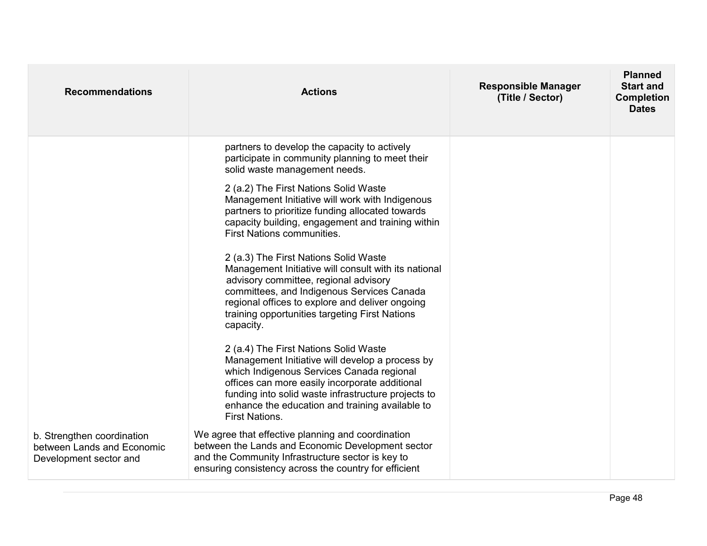| <b>Recommendations</b>                                                             | <b>Actions</b>                                                                                                                                                                                                                                                                                                                                                                                                                                                                                                                                                                                                                                                                                                                                                                                                                                                                                                                                                                                                     | <b>Responsible Manager</b><br>(Title / Sector) | <b>Planned</b><br><b>Start and</b><br><b>Completion</b><br><b>Dates</b> |
|------------------------------------------------------------------------------------|--------------------------------------------------------------------------------------------------------------------------------------------------------------------------------------------------------------------------------------------------------------------------------------------------------------------------------------------------------------------------------------------------------------------------------------------------------------------------------------------------------------------------------------------------------------------------------------------------------------------------------------------------------------------------------------------------------------------------------------------------------------------------------------------------------------------------------------------------------------------------------------------------------------------------------------------------------------------------------------------------------------------|------------------------------------------------|-------------------------------------------------------------------------|
|                                                                                    | partners to develop the capacity to actively<br>participate in community planning to meet their<br>solid waste management needs.<br>2 (a.2) The First Nations Solid Waste<br>Management Initiative will work with Indigenous<br>partners to prioritize funding allocated towards<br>capacity building, engagement and training within<br><b>First Nations communities.</b><br>2 (a.3) The First Nations Solid Waste<br>Management Initiative will consult with its national<br>advisory committee, regional advisory<br>committees, and Indigenous Services Canada<br>regional offices to explore and deliver ongoing<br>training opportunities targeting First Nations<br>capacity.<br>2 (a.4) The First Nations Solid Waste<br>Management Initiative will develop a process by<br>which Indigenous Services Canada regional<br>offices can more easily incorporate additional<br>funding into solid waste infrastructure projects to<br>enhance the education and training available to<br><b>First Nations.</b> |                                                |                                                                         |
| b. Strengthen coordination<br>between Lands and Economic<br>Development sector and | We agree that effective planning and coordination<br>between the Lands and Economic Development sector<br>and the Community Infrastructure sector is key to<br>ensuring consistency across the country for efficient                                                                                                                                                                                                                                                                                                                                                                                                                                                                                                                                                                                                                                                                                                                                                                                               |                                                |                                                                         |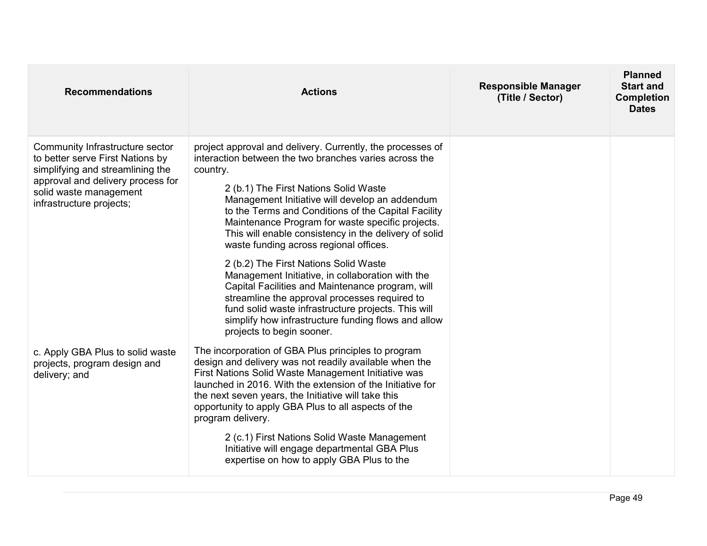| <b>Recommendations</b>                                                                                                                                                                             | <b>Actions</b>                                                                                                                                                                                                                                                                                                                                                                                                                            | <b>Responsible Manager</b><br>(Title / Sector) | <b>Planned</b><br><b>Start and</b><br><b>Completion</b><br><b>Dates</b> |
|----------------------------------------------------------------------------------------------------------------------------------------------------------------------------------------------------|-------------------------------------------------------------------------------------------------------------------------------------------------------------------------------------------------------------------------------------------------------------------------------------------------------------------------------------------------------------------------------------------------------------------------------------------|------------------------------------------------|-------------------------------------------------------------------------|
| Community Infrastructure sector<br>to better serve First Nations by<br>simplifying and streamlining the<br>approval and delivery process for<br>solid waste management<br>infrastructure projects; | project approval and delivery. Currently, the processes of<br>interaction between the two branches varies across the<br>country.<br>2 (b.1) The First Nations Solid Waste<br>Management Initiative will develop an addendum<br>to the Terms and Conditions of the Capital Facility<br>Maintenance Program for waste specific projects.<br>This will enable consistency in the delivery of solid<br>waste funding across regional offices. |                                                |                                                                         |
|                                                                                                                                                                                                    | 2 (b.2) The First Nations Solid Waste<br>Management Initiative, in collaboration with the<br>Capital Facilities and Maintenance program, will<br>streamline the approval processes required to<br>fund solid waste infrastructure projects. This will<br>simplify how infrastructure funding flows and allow<br>projects to begin sooner.                                                                                                 |                                                |                                                                         |
| c. Apply GBA Plus to solid waste<br>projects, program design and<br>delivery; and                                                                                                                  | The incorporation of GBA Plus principles to program<br>design and delivery was not readily available when the<br>First Nations Solid Waste Management Initiative was<br>launched in 2016. With the extension of the Initiative for<br>the next seven years, the Initiative will take this<br>opportunity to apply GBA Plus to all aspects of the<br>program delivery.<br>2 (c.1) First Nations Solid Waste Management                     |                                                |                                                                         |
|                                                                                                                                                                                                    | Initiative will engage departmental GBA Plus<br>expertise on how to apply GBA Plus to the                                                                                                                                                                                                                                                                                                                                                 |                                                |                                                                         |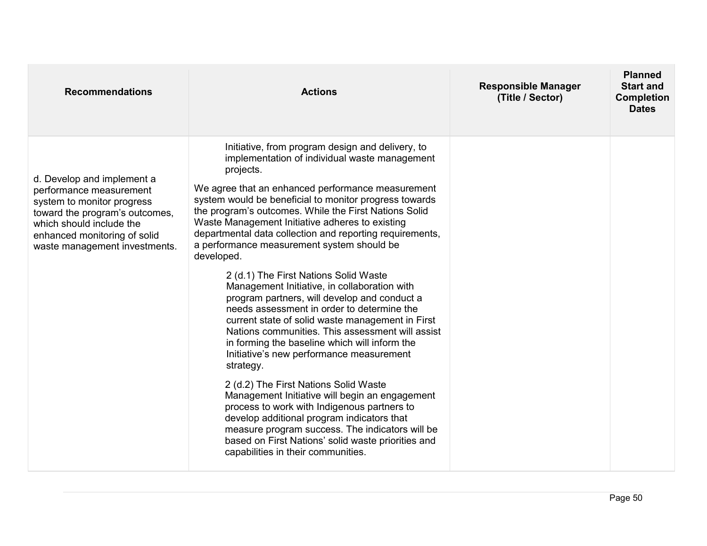| <b>Recommendations</b>                                                                                                                                                                                             | <b>Actions</b>                                                                                                                                                                                                                                                                                                                                                                                                                                                                                                                                                                                                                                                                                                                                                                                                                                                                                                                                                                                                                                                                                                                                                                                                    | <b>Responsible Manager</b><br>(Title / Sector) | <b>Planned</b><br><b>Start and</b><br><b>Completion</b><br><b>Dates</b> |
|--------------------------------------------------------------------------------------------------------------------------------------------------------------------------------------------------------------------|-------------------------------------------------------------------------------------------------------------------------------------------------------------------------------------------------------------------------------------------------------------------------------------------------------------------------------------------------------------------------------------------------------------------------------------------------------------------------------------------------------------------------------------------------------------------------------------------------------------------------------------------------------------------------------------------------------------------------------------------------------------------------------------------------------------------------------------------------------------------------------------------------------------------------------------------------------------------------------------------------------------------------------------------------------------------------------------------------------------------------------------------------------------------------------------------------------------------|------------------------------------------------|-------------------------------------------------------------------------|
| d. Develop and implement a<br>performance measurement<br>system to monitor progress<br>toward the program's outcomes,<br>which should include the<br>enhanced monitoring of solid<br>waste management investments. | Initiative, from program design and delivery, to<br>implementation of individual waste management<br>projects.<br>We agree that an enhanced performance measurement<br>system would be beneficial to monitor progress towards<br>the program's outcomes. While the First Nations Solid<br>Waste Management Initiative adheres to existing<br>departmental data collection and reporting requirements,<br>a performance measurement system should be<br>developed.<br>2 (d.1) The First Nations Solid Waste<br>Management Initiative, in collaboration with<br>program partners, will develop and conduct a<br>needs assessment in order to determine the<br>current state of solid waste management in First<br>Nations communities. This assessment will assist<br>in forming the baseline which will inform the<br>Initiative's new performance measurement<br>strategy.<br>2 (d.2) The First Nations Solid Waste<br>Management Initiative will begin an engagement<br>process to work with Indigenous partners to<br>develop additional program indicators that<br>measure program success. The indicators will be<br>based on First Nations' solid waste priorities and<br>capabilities in their communities. |                                                |                                                                         |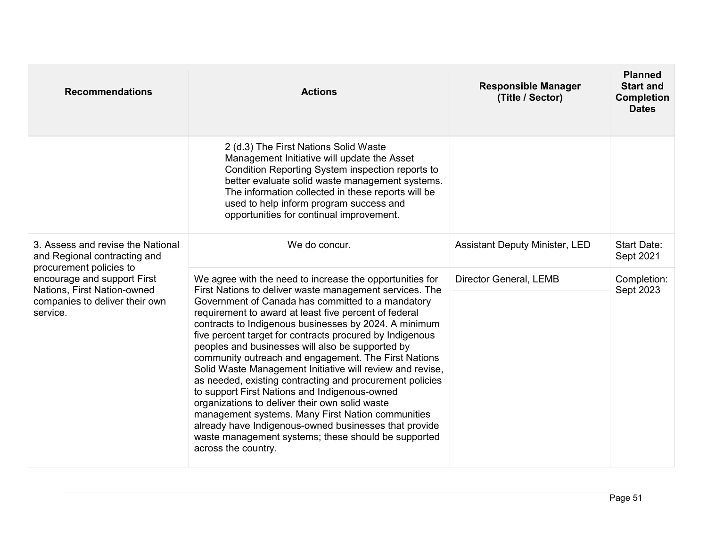| <b>Recommendations</b>                                                                                                              | <b>Actions</b>                                                                                                                                                                                                                                                                                                                                                                                                                                                                                                                                                                                                                                                                                                                                                                                                                                                                             | <b>Responsible Manager</b><br>(Title / Sector) | <b>Planned</b><br><b>Start and</b><br><b>Completion</b><br><b>Dates</b> |
|-------------------------------------------------------------------------------------------------------------------------------------|--------------------------------------------------------------------------------------------------------------------------------------------------------------------------------------------------------------------------------------------------------------------------------------------------------------------------------------------------------------------------------------------------------------------------------------------------------------------------------------------------------------------------------------------------------------------------------------------------------------------------------------------------------------------------------------------------------------------------------------------------------------------------------------------------------------------------------------------------------------------------------------------|------------------------------------------------|-------------------------------------------------------------------------|
|                                                                                                                                     | 2 (d.3) The First Nations Solid Waste<br>Management Initiative will update the Asset<br>Condition Reporting System inspection reports to<br>better evaluate solid waste management systems.<br>The information collected in these reports will be<br>used to help inform program success and<br>opportunities for continual improvement.                                                                                                                                                                                                                                                                                                                                                                                                                                                                                                                                                   |                                                |                                                                         |
| 3. Assess and revise the National<br>and Regional contracting and                                                                   | We do concur.                                                                                                                                                                                                                                                                                                                                                                                                                                                                                                                                                                                                                                                                                                                                                                                                                                                                              | <b>Assistant Deputy Minister, LED</b>          | <b>Start Date:</b><br>Sept 2021                                         |
| procurement policies to<br>encourage and support First<br>Nations, First Nation-owned<br>companies to deliver their own<br>service. | We agree with the need to increase the opportunities for<br>First Nations to deliver waste management services. The<br>Government of Canada has committed to a mandatory<br>requirement to award at least five percent of federal<br>contracts to Indigenous businesses by 2024. A minimum<br>five percent target for contracts procured by Indigenous<br>peoples and businesses will also be supported by<br>community outreach and engagement. The First Nations<br>Solid Waste Management Initiative will review and revise,<br>as needed, existing contracting and procurement policies<br>to support First Nations and Indigenous-owned<br>organizations to deliver their own solid waste<br>management systems. Many First Nation communities<br>already have Indigenous-owned businesses that provide<br>waste management systems; these should be supported<br>across the country. | Director General, LEMB                         | Completion:<br>Sept 2023                                                |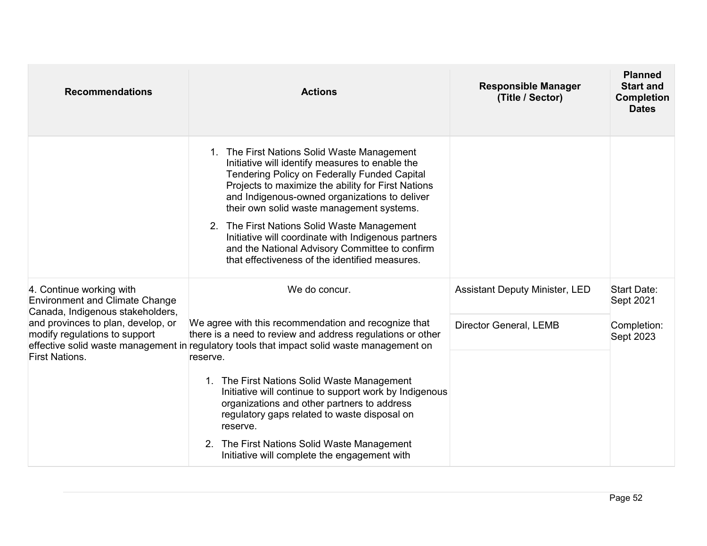| <b>Recommendations</b>                                                                                | <b>Actions</b>                                                                                                                                                                                                                                                                                            | <b>Responsible Manager</b><br>(Title / Sector) | <b>Planned</b><br><b>Start and</b><br><b>Completion</b><br><b>Dates</b> |
|-------------------------------------------------------------------------------------------------------|-----------------------------------------------------------------------------------------------------------------------------------------------------------------------------------------------------------------------------------------------------------------------------------------------------------|------------------------------------------------|-------------------------------------------------------------------------|
|                                                                                                       | 1. The First Nations Solid Waste Management<br>Initiative will identify measures to enable the<br><b>Tendering Policy on Federally Funded Capital</b><br>Projects to maximize the ability for First Nations<br>and Indigenous-owned organizations to deliver<br>their own solid waste management systems. |                                                |                                                                         |
|                                                                                                       | 2. The First Nations Solid Waste Management<br>Initiative will coordinate with Indigenous partners<br>and the National Advisory Committee to confirm<br>that effectiveness of the identified measures.                                                                                                    |                                                |                                                                         |
| 4. Continue working with<br><b>Environment and Climate Change</b><br>Canada, Indigenous stakeholders, | We do concur.                                                                                                                                                                                                                                                                                             | <b>Assistant Deputy Minister, LED</b>          | <b>Start Date:</b><br>Sept 2021                                         |
| and provinces to plan, develop, or<br>modify regulations to support<br><b>First Nations.</b>          | We agree with this recommendation and recognize that<br>there is a need to review and address regulations or other<br>effective solid waste management in regulatory tools that impact solid waste management on<br>reserve.                                                                              | Director General, LEMB                         | Completion:<br>Sept 2023                                                |
|                                                                                                       | 1. The First Nations Solid Waste Management<br>Initiative will continue to support work by Indigenous<br>organizations and other partners to address<br>regulatory gaps related to waste disposal on<br>reserve.                                                                                          |                                                |                                                                         |
|                                                                                                       | 2. The First Nations Solid Waste Management<br>Initiative will complete the engagement with                                                                                                                                                                                                               |                                                |                                                                         |